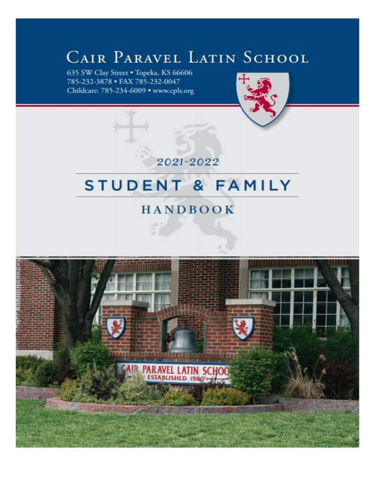# CAIR PARAVEL LATIN SCHOOL

635 SW Clay Street . Topeka, KS 66606 785-232-3878 · FAX 785-232-0047 Childcare: 785-234-6009 · www.cpls.org



2021-2022

# STUDENT & FAMILY

# **HANDBOOK**

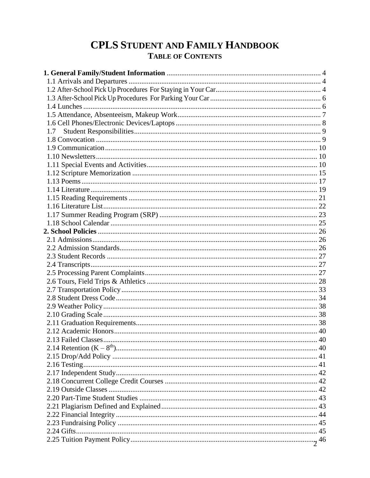# **CPLS STUDENT AND FAMILY HANDBOOK TABLE OF CONTENTS**

| 1.7 |  |
|-----|--|
|     |  |
|     |  |
|     |  |
|     |  |
|     |  |
|     |  |
|     |  |
|     |  |
|     |  |
|     |  |
|     |  |
|     |  |
|     |  |
|     |  |
|     |  |
|     |  |
|     |  |
|     |  |
|     |  |
|     |  |
|     |  |
|     |  |
|     |  |
|     |  |
|     |  |
|     |  |
|     |  |
|     |  |
|     |  |
|     |  |
|     |  |
|     |  |
|     |  |
|     |  |
|     |  |
|     |  |
|     |  |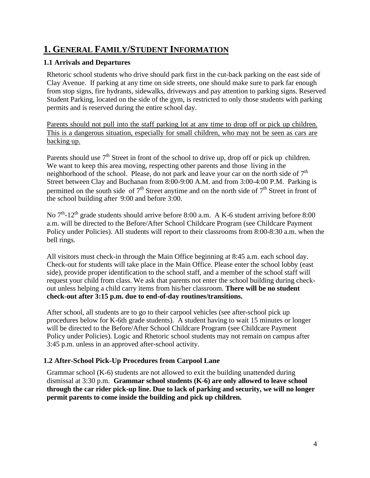# **1. GENERAL FAMILY/STUDENT INFORMATION**

### **1.1 Arrivals and Departures**

Rhetoric school students who drive should park first in the cut-back parking on the east side of Clay Avenue. If parking at any time on side streets, one should make sure to park far enough from stop signs, fire hydrants, sidewalks, driveways and pay attention to parking signs. Reserved Student Parking, located on the side of the gym, is restricted to only those students with parking permits and is reserved during the entire school day.

Parents should not pull into the staff parking lot at any time to drop off or pick up children. This is a dangerous situation, especially for small children, who may not be seen as cars are backing up.

Parents should use  $7<sup>th</sup>$  Street in front of the school to drive up, drop off or pick up children. We want to keep this area moving, respecting other parents and those living in the neighborhood of the school. Please, do not park and leave your car on the north side of 7<sup>th</sup> Street between Clay and Buchanan from 8:00-9:00 A.M. and from 3:00-4:00 P.M. Parking is permitted on the south side of  $7<sup>th</sup>$  Street anytime and on the north side of  $7<sup>th</sup>$  Street in front of the school building after 9:00 and before 3:00.

No  $7<sup>th</sup>$ -12<sup>th</sup> grade students should arrive before 8:00 a.m. A K-6 student arriving before 8:00 a.m. will be directed to the Before/After School Childcare Program (see Childcare Payment Policy under Policies). All students will report to their classrooms from 8:00-8:30 a.m. when the bell rings.

All visitors must check-in through the Main Office beginning at 8:45 a.m. each school day. Check-out for students will take place in the Main Office. Please enter the school lobby (east side), provide proper identification to the school staff, and a member of the school staff will request your child from class. We ask that parents not enter the school building during checkout unless helping a child carry items from his/her classroom. **There will be no student check-out after 3:15 p.m. due to end-of-day routines/transitions.**

After school, all students are to go to their carpool vehicles (see after-school pick up procedures below for K-6th grade students). A student having to wait 15 minutes or longer will be directed to the Before/After School Childcare Program (see Childcare Payment Policy under Policies). Logic and Rhetoric school students may not remain on campus after 3:45 p.m. unless in an approved after-school activity.

# **1.2 After-School Pick-Up Procedures from Carpool Lane**

Grammar school (K-6) students are not allowed to exit the building unattended during dismissal at 3:30 p.m. **Grammar school students (K-6) are only allowed to leave school through the car rider pick-up line. Due to lack of parking and security, we will no longer permit parents to come inside the building and pick up children.**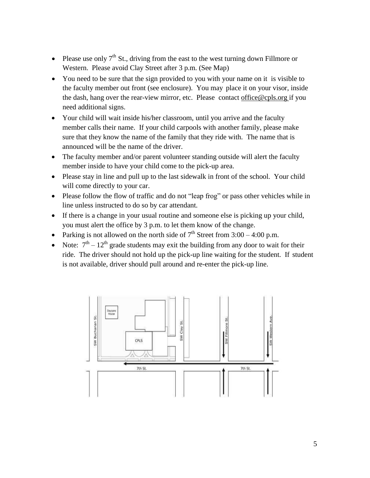- Please use only  $7<sup>th</sup>$  St., driving from the east to the west turning down Fillmore or Western. Please avoid Clay Street after 3 p.m. (See Map)
- You need to be sure that the sign provided to you with your name on it is visible to the faculty member out front (see enclosure). You may place it on your visor, inside the dash, hang over the rear-view mirror, etc. Please contact [office@cpls.org](mailto:office@cpls.org) if you need additional signs.
- Your child will wait inside his/her classroom, until you arrive and the faculty member calls their name. If your child carpools with another family, please make sure that they know the name of the family that they ride with. The name that is announced will be the name of the driver.
- The faculty member and/or parent volunteer standing outside will alert the faculty member inside to have your child come to the pick-up area.
- Please stay in line and pull up to the last sidewalk in front of the school. Your child will come directly to your car.
- Please follow the flow of traffic and do not "leap frog" or pass other vehicles while in line unless instructed to do so by car attendant.
- If there is a change in your usual routine and someone else is picking up your child, you must alert the office by 3 p.m. to let them know of the change.
- Parking is not allowed on the north side of  $7<sup>th</sup>$  Street from 3:00 4:00 p.m.
- Note:  $7^{\text{th}} 12^{\text{th}}$  grade students may exit the building from any door to wait for their ride. The driver should not hold up the pick-up line waiting for the student. If student is not available, driver should pull around and re-enter the pick-up line.

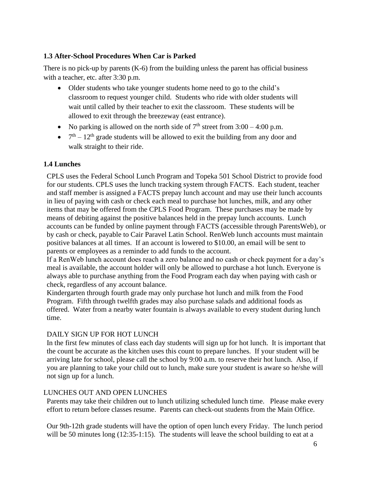### **1.3 After-School Procedures When Car is Parked**

There is no pick-up by parents (K-6) from the building unless the parent has official business with a teacher, etc. after 3:30 p.m.

- Older students who take younger students home need to go to the child's classroom to request younger child. Students who ride with older students will wait until called by their teacher to exit the classroom. These students will be allowed to exit through the breezeway (east entrance).
- No parking is allowed on the north side of  $7<sup>th</sup>$  street from  $3:00 4:00$  p.m.
- $7<sup>th</sup> 12<sup>th</sup>$  grade students will be allowed to exit the building from any door and walk straight to their ride.

### **1.4 Lunches**

CPLS uses the Federal School Lunch Program and Topeka 501 School District to provide food for our students. CPLS uses the lunch tracking system through FACTS. Each student, teacher and staff member is assigned a FACTS prepay lunch account and may use their lunch accounts in lieu of paying with cash or check each meal to purchase hot lunches, milk, and any other items that may be offered from the CPLS Food Program. These purchases may be made by means of debiting against the positive balances held in the prepay lunch accounts. Lunch accounts can be funded by online payment through FACTS (accessible through ParentsWeb), or by cash or check, payable to Cair Paravel Latin School. RenWeb lunch accounts must maintain positive balances at all times. If an account is lowered to \$10.00, an email will be sent to parents or employees as a reminder to add funds to the account.

If a RenWeb lunch account does reach a zero balance and no cash or check payment for a day's meal is available, the account holder will only be allowed to purchase a hot lunch. Everyone is always able to purchase anything from the Food Program each day when paying with cash or check, regardless of any account balance.

Kindergarten through fourth grade may only purchase hot lunch and milk from the Food Program. Fifth through twelfth grades may also purchase salads and additional foods as offered. Water from a nearby water fountain is always available to every student during lunch time.

#### DAILY SIGN UP FOR HOT LUNCH

In the first few minutes of class each day students will sign up for hot lunch. It is important that the count be accurate as the kitchen uses this count to prepare lunches. If your student will be arriving late for school, please call the school by 9:00 a.m. to reserve their hot lunch. Also, if you are planning to take your child out to lunch, make sure your student is aware so he/she will not sign up for a lunch.

#### LUNCHES OUT AND OPEN LUNCHES

Parents may take their children out to lunch utilizing scheduled lunch time. Please make every effort to return before classes resume. Parents can check-out students from the Main Office.

Our 9th-12th grade students will have the option of open lunch every Friday. The lunch period will be 50 minutes long (12:35-1:15). The students will leave the school building to eat at a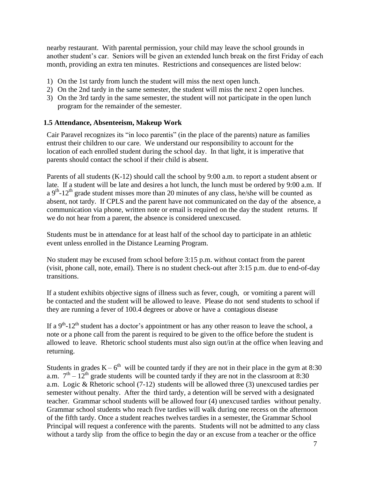nearby restaurant. With parental permission, your child may leave the school grounds in another student's car. Seniors will be given an extended lunch break on the first Friday of each month, providing an extra ten minutes. Restrictions and consequences are listed below:

- 1) On the 1st tardy from lunch the student will miss the next open lunch.
- 2) On the 2nd tardy in the same semester, the student will miss the next 2 open lunches.
- 3) On the 3rd tardy in the same semester, the student will not participate in the open lunch program for the remainder of the semester.

#### **1.5 Attendance, Absenteeism, Makeup Work**

Cair Paravel recognizes its "in loco parentis" (in the place of the parents) nature as families entrust their children to our care. We understand our responsibility to account for the location of each enrolled student during the school day. In that light, it is imperative that parents should contact the school if their child is absent.

Parents of all students (K-12) should call the school by 9:00 a.m. to report a student absent or late. If a student will be late and desires a hot lunch, the lunch must be ordered by 9:00 a.m. If a  $9<sup>th</sup>$ -12<sup>th</sup> grade student misses more than 20 minutes of any class, he/she will be counted as absent, not tardy. If CPLS and the parent have not communicated on the day of the absence, a communication via phone, written note or email is required on the day the student returns. If we do not hear from a parent, the absence is considered unexcused.

Students must be in attendance for at least half of the school day to participate in an athletic event unless enrolled in the Distance Learning Program.

No student may be excused from school before 3:15 p.m. without contact from the parent (visit, phone call, note, email). There is no student check-out after 3:15 p.m. due to end-of-day transitions.

If a student exhibits objective signs of illness such as fever, cough, or vomiting a parent will be contacted and the student will be allowed to leave. Please do not send students to school if they are running a fever of 100.4 degrees or above or have a contagious disease

If a  $9<sup>th</sup>$ -12<sup>th</sup> student has a doctor's appointment or has any other reason to leave the school, a note or a phone call from the parent is required to be given to the office before the student is allowed to leave. Rhetoric school students must also sign out/in at the office when leaving and returning.

Students in grades  $K - 6<sup>th</sup>$  will be counted tardy if they are not in their place in the gym at 8:30 a.m.  $7<sup>th</sup> - 12<sup>th</sup>$  grade students will be counted tardy if they are not in the classroom at 8:30 a.m. Logic & Rhetoric school (7-12) students will be allowed three (3) unexcused tardies per semester without penalty. After the third tardy, a detention will be served with a designated teacher. Grammar school students will be allowed four (4) unexcused tardies without penalty. Grammar school students who reach five tardies will walk during one recess on the afternoon of the fifth tardy. Once a student reaches twelves tardies in a semester, the Grammar School Principal will request a conference with the parents. Students will not be admitted to any class without a tardy slip from the office to begin the day or an excuse from a teacher or the office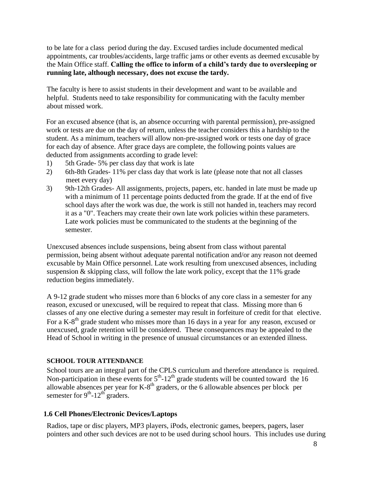to be late for a class period during the day. Excused tardies include documented medical appointments, car troubles/accidents, large traffic jams or other events as deemed excusable by the Main Office staff. **Calling the office to inform of a child's tardy due to oversleeping or running late, although necessary, does not excuse the tardy.**

The faculty is here to assist students in their development and want to be available and helpful. Students need to take responsibility for communicating with the faculty member about missed work.

For an excused absence (that is, an absence occurring with parental permission), pre-assigned work or tests are due on the day of return, unless the teacher considers this a hardship to the student. As a minimum, teachers will allow non-pre-assigned work or tests one day of grace for each day of absence. After grace days are complete, the following points values are deducted from assignments according to grade level:

- 1) 5th Grade- 5% per class day that work is late
- 2) 6th-8th Grades- 11% per class day that work is late (please note that not all classes meet every day)
- 3) 9th-12th Grades- All assignments, projects, papers, etc. handed in late must be made up with a minimum of 11 percentage points deducted from the grade. If at the end of five school days after the work was due, the work is still not handed in, teachers may record it as a "0". Teachers may create their own late work policies within these parameters. Late work policies must be communicated to the students at the beginning of the semester.

Unexcused absences include suspensions, being absent from class without parental permission, being absent without adequate parental notification and/or any reason not deemed excusable by Main Office personnel. Late work resulting from unexcused absences, including suspension  $&$  skipping class, will follow the late work policy, except that the 11% grade reduction begins immediately.

A 9-12 grade student who misses more than 6 blocks of any core class in a semester for any reason, excused or unexcused, will be required to repeat that class. Missing more than 6 classes of any one elective during a semester may result in forfeiture of credit for that elective. For a K-8<sup>th</sup> grade student who misses more than 16 days in a year for any reason, excused or unexcused, grade retention will be considered. These consequences may be appealed to the Head of School in writing in the presence of unusual circumstances or an extended illness.

#### **SCHOOL TOUR ATTENDANCE**

School tours are an integral part of the CPLS curriculum and therefore attendance is required. Non-participation in these events for  $5<sup>th</sup>$ -12<sup>th</sup> grade students will be counted toward the 16 allowable absences per year for K-8<sup>th</sup> graders, or the 6 allowable absences per block per semester for  $9<sup>th</sup>$ -12<sup>th</sup> graders.

#### **1.6 Cell Phones/Electronic Devices/Laptops**

Radios, tape or disc players, MP3 players, iPods, electronic games, beepers, pagers, laser pointers and other such devices are not to be used during school hours. This includes use during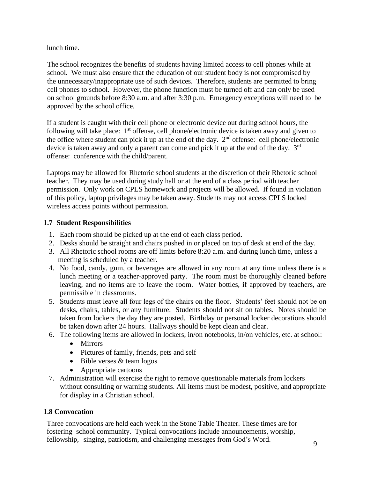lunch time.

 The school recognizes the benefits of students having limited access to cell phones while at school. We must also ensure that the education of our student body is not compromised by the unnecessary/inappropriate use of such devices. Therefore, students are permitted to bring cell phones to school. However, the phone function must be turned off and can only be used on school grounds before 8:30 a.m. and after 3:30 p.m. Emergency exceptions will need to be approved by the school office.

If a student is caught with their cell phone or electronic device out during school hours, the following will take place:  $1<sup>st</sup>$  offense, cell phone/electronic device is taken away and given to the office where student can pick it up at the end of the day.  $2<sup>nd</sup>$  offense: cell phone/electronic device is taken away and only a parent can come and pick it up at the end of the day. 3<sup>rd</sup> offense: conference with the child/parent.

Laptops may be allowed for Rhetoric school students at the discretion of their Rhetoric school teacher. They may be used during study hall or at the end of a class period with teacher permission. Only work on CPLS homework and projects will be allowed. If found in violation of this policy, laptop privileges may be taken away. Students may not access CPLS locked wireless access points without permission.

# **1.7 Student Responsibilities**

- 1. Each room should be picked up at the end of each class period.
- 2. Desks should be straight and chairs pushed in or placed on top of desk at end of the day.
- 3. All Rhetoric school rooms are off limits before 8:20 a.m. and during lunch time, unless a meeting is scheduled by a teacher.
- 4. No food, candy, gum, or beverages are allowed in any room at any time unless there is a lunch meeting or a teacher-approved party. The room must be thoroughly cleaned before leaving, and no items are to leave the room. Water bottles, if approved by teachers, are permissible in classrooms.
- 5. Students must leave all four legs of the chairs on the floor. Students' feet should not be on desks, chairs, tables, or any furniture. Students should not sit on tables. Notes should be taken from lockers the day they are posted. Birthday or personal locker decorations should be taken down after 24 hours. Hallways should be kept clean and clear.
- 6. The following items are allowed in lockers, in/on notebooks, in/on vehicles, etc. at school:
	- Mirrors
	- Pictures of family, friends, pets and self
	- Bible verses & team logos
	- Appropriate cartoons
- 7. Administration will exercise the right to remove questionable materials from lockers without consulting or warning students. All items must be modest, positive, and appropriate for display in a Christian school.

# **1.8 Convocation**

Three convocations are held each week in the Stone Table Theater. These times are for fostering school community. Typical convocations include announcements, worship, fellowship, singing, patriotism, and challenging messages from God's Word.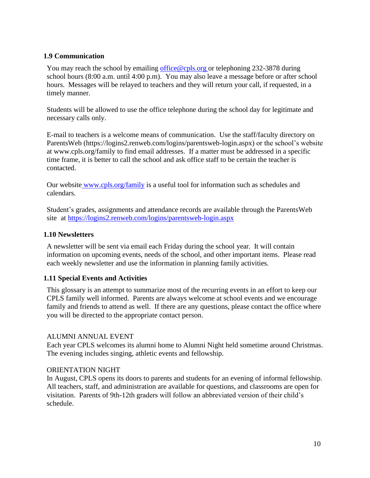#### **1.9 Communication**

You may reach the school by emailing [office@cpls.org](mailto:office@cpls.org) or telephoning 232-3878 during school hours (8:00 a.m. until 4:00 p.m). You may also leave a message before or after school hours. Messages will be relayed to teachers and they will return your call, if requested, in a timely manner.

Students will be allowed to use the office telephone during the school day for legitimate and necessary calls only.

E-mail to teachers is a welcome means of communication. Use the staff/faculty directory on ParentsWeb (https://logins2.renweb.com/logins/parentsweb-login.aspx) or the school's website at www.cpls.org/family to find email addresses. If a matter must be addressed in a specific time frame, it is better to call the school and ask office staff to be certain the teacher is contacted.

Our website www.cpls.org/family is a useful tool for information such as schedules and calendars.

Student's grades, assignments and attendance records are available through the ParentsWeb site at <https://logins2.renweb.com/logins/parentsweb-login.aspx>

#### **1.10 Newsletters**

A newsletter will be sent via email each Friday during the school year. It will contain information on upcoming events, needs of the school, and other important items. Please read each weekly newsletter and use the information in planning family activities.

#### **1.11 Special Events and Activities**

This glossary is an attempt to summarize most of the recurring events in an effort to keep our CPLS family well informed. Parents are always welcome at school events and we encourage family and friends to attend as well. If there are any questions, please contact the office where you will be directed to the appropriate contact person.

#### ALUMNI ANNUAL EVENT

Each year CPLS welcomes its alumni home to Alumni Night held sometime around Christmas. The evening includes singing, athletic events and fellowship.

#### ORIENTATION NIGHT

In August, CPLS opens its doors to parents and students for an evening of informal fellowship. All teachers, staff, and administration are available for questions, and classrooms are open for visitation. Parents of 9th-12th graders will follow an abbreviated version of their child's schedule.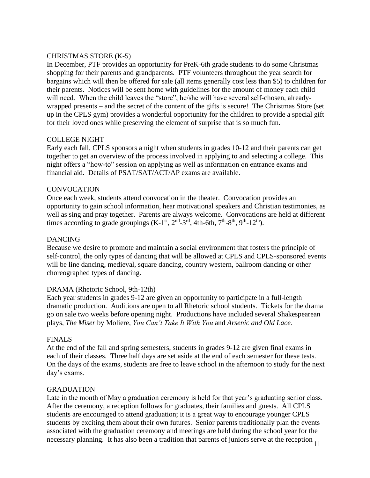#### CHRISTMAS STORE (K-5)

In December, PTF provides an opportunity for PreK-6th grade students to do some Christmas shopping for their parents and grandparents. PTF volunteers throughout the year search for bargains which will then be offered for sale (all items generally cost less than \$5) to children for their parents. Notices will be sent home with guidelines for the amount of money each child will need. When the child leaves the "store", he/she will have several self-chosen, alreadywrapped presents – and the secret of the content of the gifts is secure! The Christmas Store (set up in the CPLS gym) provides a wonderful opportunity for the children to provide a special gift for their loved ones while preserving the element of surprise that is so much fun.

#### COLLEGE NIGHT

Early each fall, CPLS sponsors a night when students in grades 10-12 and their parents can get together to get an overview of the process involved in applying to and selecting a college. This night offers a "how-to" session on applying as well as information on entrance exams and financial aid. Details of PSAT/SAT/ACT/AP exams are available.

#### **CONVOCATION**

Once each week, students attend convocation in the theater. Convocation provides an opportunity to gain school information, hear motivational speakers and Christian testimonies, as well as sing and pray together. Parents are always welcome. Convocations are held at different times according to grade groupings  $(K-1<sup>st</sup>, 2<sup>nd</sup>-3<sup>rd</sup>, 4th-6th, 7<sup>th</sup>-8<sup>th</sup>, 9<sup>th</sup>-12<sup>th</sup>).$ 

#### DANCING

Because we desire to promote and maintain a social environment that fosters the principle of self-control, the only types of dancing that will be allowed at CPLS and CPLS-sponsored events will be line dancing, medieval, square dancing, country western, ballroom dancing or other choreographed types of dancing.

#### DRAMA (Rhetoric School, 9th-12th)

Each year students in grades 9-12 are given an opportunity to participate in a full-length dramatic production. Auditions are open to all Rhetoric school students. Tickets for the drama go on sale two weeks before opening night. Productions have included several Shakespearean plays, *The Miser* by Moliere, *You Can't Take It With You* and *Arsenic and Old Lace.*

#### FINALS

At the end of the fall and spring semesters, students in grades 9-12 are given final exams in each of their classes. Three half days are set aside at the end of each semester for these tests. On the days of the exams, students are free to leave school in the afternoon to study for the next day's exams.

#### GRADUATION

necessary planning. It has also been a tradition that parents of juniors serve at the reception  $11$ Late in the month of May a graduation ceremony is held for that year's graduating senior class. After the ceremony, a reception follows for graduates, their families and guests. All CPLS students are encouraged to attend graduation; it is a great way to encourage younger CPLS students by exciting them about their own futures. Senior parents traditionally plan the events associated with the graduation ceremony and meetings are held during the school year for the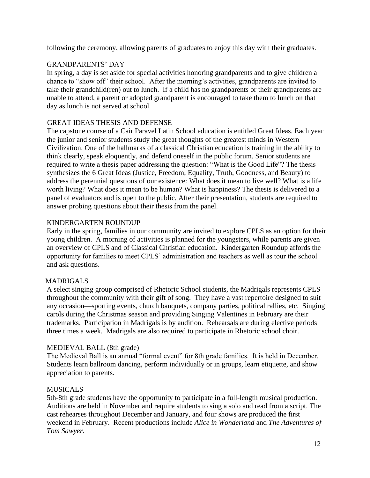following the ceremony, allowing parents of graduates to enjoy this day with their graduates.

### GRANDPARENTS' DAY

In spring, a day is set aside for special activities honoring grandparents and to give children a chance to "show off" their school. After the morning's activities, grandparents are invited to take their grandchild(ren) out to lunch. If a child has no grandparents or their grandparents are unable to attend, a parent or adopted grandparent is encouraged to take them to lunch on that day as lunch is not served at school.

#### GREAT IDEAS THESIS AND DEFENSE

The capstone course of a Cair Paravel Latin School education is entitled Great Ideas. Each year the junior and senior students study the great thoughts of the greatest minds in Western Civilization. One of the hallmarks of a classical Christian education is training in the ability to think clearly, speak eloquently, and defend oneself in the public forum. Senior students are required to write a thesis paper addressing the question: "What is the Good Life"? The thesis synthesizes the 6 Great Ideas (Justice, Freedom, Equality, Truth, Goodness, and Beauty) to address the perennial questions of our existence: What does it mean to live well? What is a life worth living? What does it mean to be human? What is happiness? The thesis is delivered to a panel of evaluators and is open to the public. After their presentation, students are required to answer probing questions about their thesis from the panel.

### KINDERGARTEN ROUNDUP

Early in the spring, families in our community are invited to explore CPLS as an option for their young children. A morning of activities is planned for the youngsters, while parents are given an overview of CPLS and of Classical Christian education. Kindergarten Roundup affords the opportunity for families to meet CPLS' administration and teachers as well as tour the school and ask questions.

# MADRIGALS

A select singing group comprised of Rhetoric School students, the Madrigals represents CPLS throughout the community with their gift of song. They have a vast repertoire designed to suit any occasion—sporting events, church banquets, company parties, political rallies, etc. Singing carols during the Christmas season and providing Singing Valentines in February are their trademarks. Participation in Madrigals is by audition. Rehearsals are during elective periods three times a week. Madrigals are also required to participate in Rhetoric school choir.

#### MEDIEVAL BALL (8th grade)

The Medieval Ball is an annual "formal event" for 8th grade families. It is held in December. Students learn ballroom dancing, perform individually or in groups, learn etiquette, and show appreciation to parents.

#### MUSICALS

5th-8th grade students have the opportunity to participate in a full-length musical production. Auditions are held in November and require students to sing a solo and read from a script. The cast rehearses throughout December and January, and four shows are produced the first weekend in February. Recent productions include *Alice in Wonderland* and *The Adventures of Tom Sawyer.*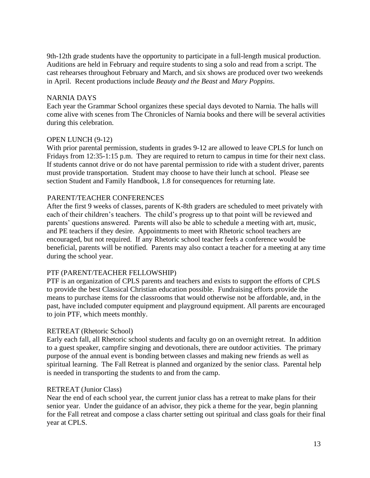9th-12th grade students have the opportunity to participate in a full-length musical production. Auditions are held in February and require students to sing a solo and read from a script. The cast rehearses throughout February and March, and six shows are produced over two weekends in April. Recent productions include *Beauty and the Beast* and *Mary Poppins*.

#### NARNIA DAYS

Each year the Grammar School organizes these special days devoted to Narnia. The halls will come alive with scenes from The Chronicles of Narnia books and there will be several activities during this celebration.

#### OPEN LUNCH (9-12)

With prior parental permission, students in grades 9-12 are allowed to leave CPLS for lunch on Fridays from 12:35-1:15 p.m. They are required to return to campus in time for their next class. If students cannot drive or do not have parental permission to ride with a student driver, parents must provide transportation. Student may choose to have their lunch at school. Please see section Student and Family Handbook, 1.8 for consequences for returning late.

#### PARENT/TEACHER CONFERENCES

After the first 9 weeks of classes, parents of K-8th graders are scheduled to meet privately with each of their children's teachers. The child's progress up to that point will be reviewed and parents' questions answered. Parents will also be able to schedule a meeting with art, music, and PE teachers if they desire. Appointments to meet with Rhetoric school teachers are encouraged, but not required. If any Rhetoric school teacher feels a conference would be beneficial, parents will be notified. Parents may also contact a teacher for a meeting at any time during the school year.

#### PTF (PARENT/TEACHER FELLOWSHIP)

PTF is an organization of CPLS parents and teachers and exists to support the efforts of CPLS to provide the best Classical Christian education possible. Fundraising efforts provide the means to purchase items for the classrooms that would otherwise not be affordable, and, in the past, have included computer equipment and playground equipment. All parents are encouraged to join PTF, which meets monthly.

#### RETREAT (Rhetoric School)

Early each fall, all Rhetoric school students and faculty go on an overnight retreat. In addition to a guest speaker, campfire singing and devotionals, there are outdoor activities. The primary purpose of the annual event is bonding between classes and making new friends as well as spiritual learning. The Fall Retreat is planned and organized by the senior class. Parental help is needed in transporting the students to and from the camp.

#### RETREAT (Junior Class)

Near the end of each school year, the current junior class has a retreat to make plans for their senior year. Under the guidance of an advisor, they pick a theme for the year, begin planning for the Fall retreat and compose a class charter setting out spiritual and class goals for their final year at CPLS.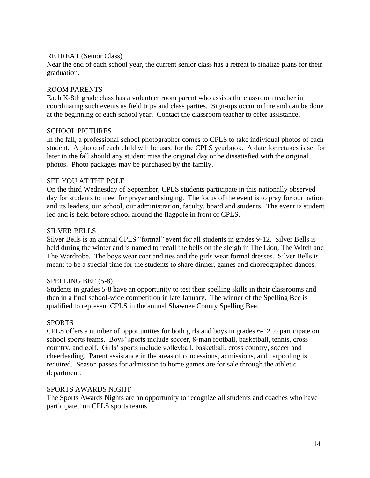#### RETREAT (Senior Class)

Near the end of each school year, the current senior class has a retreat to finalize plans for their graduation.

#### ROOM PARENTS

Each K-8th grade class has a volunteer room parent who assists the classroom teacher in coordinating such events as field trips and class parties. Sign-ups occur online and can be done at the beginning of each school year. Contact the classroom teacher to offer assistance.

#### SCHOOL PICTURES

In the fall, a professional school photographer comes to CPLS to take individual photos of each student. A photo of each child will be used for the CPLS yearbook. A date for retakes is set for later in the fall should any student miss the original day or be dissatisfied with the original photos. Photo packages may be purchased by the family.

#### SEE YOU AT THE POLE

On the third Wednesday of September, CPLS students participate in this nationally observed day for students to meet for prayer and singing. The focus of the event is to pray for our nation and its leaders, our school, our administration, faculty, board and students. The event is student led and is held before school around the flagpole in front of CPLS.

#### SILVER BELLS

Silver Bells is an annual CPLS "formal" event for all students in grades 9-12. Silver Bells is held during the winter and is named to recall the bells on the sleigh in The Lion, The Witch and The Wardrobe. The boys wear coat and ties and the girls wear formal dresses. Silver Bells is meant to be a special time for the students to share dinner, games and choreographed dances.

#### SPELLING BEE (5-8)

Students in grades 5-8 have an opportunity to test their spelling skills in their classrooms and then in a final school-wide competition in late January. The winner of the Spelling Bee is qualified to represent CPLS in the annual Shawnee County Spelling Bee.

#### SPORTS

CPLS offers a number of opportunities for both girls and boys in grades 6-12 to participate on school sports teams. Boys' sports include soccer, 8-man football, basketball, tennis, cross country, and golf. Girls' sports include volleyball, basketball, cross country, soccer and cheerleading. Parent assistance in the areas of concessions, admissions, and carpooling is required. Season passes for admission to home games are for sale through the athletic department.

#### SPORTS AWARDS NIGHT

The Sports Awards Nights are an opportunity to recognize all students and coaches who have participated on CPLS sports teams.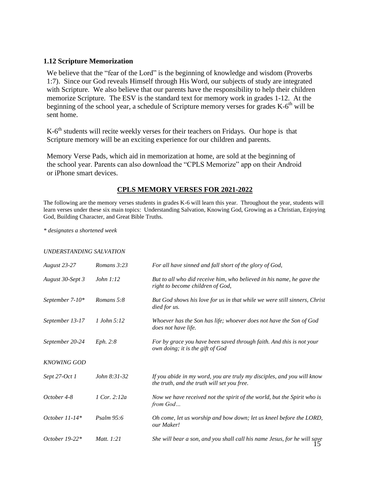#### **1.12 Scripture Memorization**

We believe that the "fear of the Lord" is the beginning of knowledge and wisdom (Proverbs 1:7). Since our God reveals Himself through His Word, our subjects of study are integrated with Scripture. We also believe that our parents have the responsibility to help their children memorize Scripture. The ESV is the standard text for memory work in grades 1-12. At the beginning of the school year, a schedule of Scripture memory verses for grades K-6<sup>th</sup> will be sent home.

K-6<sup>th</sup> students will recite weekly verses for their teachers on Fridays. Our hope is that Scripture memory will be an exciting experience for our children and parents*.*

Memory Verse Pads, which aid in memorization at home, are sold at the beginning of the school year. Parents can also download the "CPLS Memorize" app on their Android or iPhone smart devices.

#### **CPLS MEMORY VERSES FOR 2021-2022**

The following are the memory verses students in grades K-6 will learn this year. Throughout the year, students will learn verses under these six main topics: Understanding Salvation, Knowing God, Growing as a Christian, Enjoying God, Building Character, and Great Bible Truths.

*\* designates a shortened week*

#### *UNDERSTANDING SALVATION*

| <b>August 23-27</b> | Romans 3:23            | For all have sinned and fall short of the glory of God,                                                               |
|---------------------|------------------------|-----------------------------------------------------------------------------------------------------------------------|
| August 30-Sept 3    | John 1:12              | But to all who did receive him, who believed in his name, he gave the<br>right to become children of God,             |
| September 7-10*     | Romans 5:8             | But God shows his love for us in that while we were still sinners, Christ<br>died for us.                             |
| September 13-17     | 1 John 5:12            | Whoever has the Son has life; whoever does not have the Son of God<br>does not have life.                             |
| September 20-24     | Eph. 2:8               | For by grace you have been saved through faith. And this is not your<br>own doing; it is the gift of God              |
| <b>KNOWING GOD</b>  |                        |                                                                                                                       |
| Sept 27-Oct 1       | John 8:31-32           | If you abide in my word, you are truly my disciples, and you will know<br>the truth, and the truth will set you free. |
| October 4-8         | $1$ Cor. $2:12a$       | Now we have received not the spirit of the world, but the Spirit who is<br>from God                                   |
| October $11-14*$    | $P_{\text{Salm}}$ 95:6 | Oh come, let us worship and bow down; let us kneel before the LORD,<br>our Maker!                                     |
| October $19-22*$    | Matt. 1:21             | She will bear a son, and you shall call his name Jesus, for he will save                                              |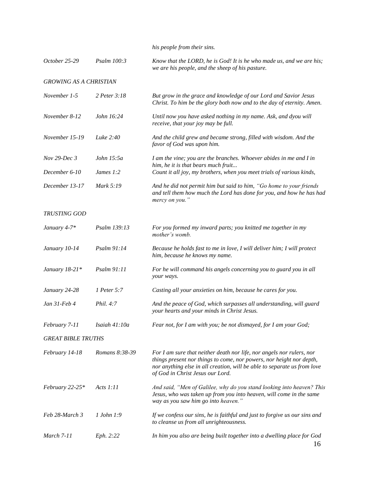*his people from their sins.*

| October 25-29                 | Psalm 100:3    | Know that the LORD, he is God! It is he who made us, and we are his;<br>we are his people, and the sheep of his pasture.                                                                                                                                      |
|-------------------------------|----------------|---------------------------------------------------------------------------------------------------------------------------------------------------------------------------------------------------------------------------------------------------------------|
| <b>GROWING AS A CHRISTIAN</b> |                |                                                                                                                                                                                                                                                               |
| November 1-5                  | 2 Peter 3:18   | But grow in the grace and knowledge of our Lord and Savior Jesus<br>Christ. To him be the glory both now and to the day of eternity. Amen.                                                                                                                    |
| November 8-12                 | John 16:24     | Until now you have asked nothing in my name. Ask, and dyou will<br>receive, that your joy may be full.                                                                                                                                                        |
| November 15-19                | Luke 2:40      | And the child grew and became strong, filled with wisdom. And the<br>favor of God was upon him.                                                                                                                                                               |
| Nov 29-Dec 3                  | John 15:5a     | I am the vine; you are the branches. Whoever abides in me and I in<br>him, he it is that bears much fruit                                                                                                                                                     |
| December 6-10                 | James $1:2$    | Count it all joy, my brothers, when you meet trials of various kinds,                                                                                                                                                                                         |
| December 13-17                | Mark 5:19      | And he did not permit him but said to him, "Go home to your friends<br>and tell them how much the Lord has done for you, and how he has had<br>mercy on you."                                                                                                 |
| TRUSTING GOD                  |                |                                                                                                                                                                                                                                                               |
| January 4-7*                  | Psalm 139:13   | For you formed my inward parts; you knitted me together in my<br>mother's womb.                                                                                                                                                                               |
| January 10-14                 | Psalm 91:14    | Because he holds fast to me in love, I will deliver him; I will protect<br>him, because he knows my name.                                                                                                                                                     |
| January 18-21*                | Psalm 91:11    | For he will command his angels concerning you to guard you in all<br>your ways.                                                                                                                                                                               |
| January 24-28                 | 1 Peter 5:7    | Casting all your anxieties on him, because he cares for you.                                                                                                                                                                                                  |
| Jan 31-Feb 4                  | Phil. 4:7      | And the peace of God, which surpasses all understanding, will guard<br>your hearts and your minds in Christ Jesus.                                                                                                                                            |
| February 7-11                 | Isaiah 41:10a  | Fear not, for I am with you; be not dismayed, for I am your God;                                                                                                                                                                                              |
| <b>GREAT BIBLE TRUTHS</b>     |                |                                                                                                                                                                                                                                                               |
| February 14-18                | Romans 8:38-39 | For I am sure that neither death nor life, nor angels nor rulers, nor<br>things present nor things to come, nor powers, nor height nor depth,<br>nor anything else in all creation, will be able to separate us from love<br>of God in Christ Jesus our Lord. |
| February 22-25*               | Acts $1:11$    | And said, "Men of Galilee, why do you stand looking into heaven? This<br>Jesus, who was taken up from you into heaven, will come in the same<br>way as you saw him go into heaven."                                                                           |
| Feb 28-March 3                | 1 John 1:9     | If we confess our sins, he is faithful and just to forgive us our sins and<br>to cleanse us from all unrighteousness.                                                                                                                                         |
| March 7-11                    | Eph. 2:22      | In him you also are being built together into a dwelling place for God<br>16                                                                                                                                                                                  |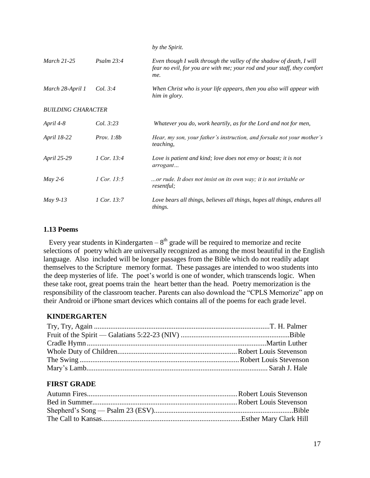|                           |                     | by the Spirit.                                                                                                                                          |
|---------------------------|---------------------|---------------------------------------------------------------------------------------------------------------------------------------------------------|
| <b>March 21-25</b>        | Psalm 23:4          | Even though I walk through the valley of the shadow of death, I will<br>fear no evil, for you are with me; your rod and your staff, they comfort<br>me. |
| March 28-April 1          | <i>Col.</i> 3:4     | When Christ who is your life appears, then you also will appear with<br>him in glory.                                                                   |
| <b>BUILDING CHARACTER</b> |                     |                                                                                                                                                         |
| April 4-8                 | Col. 3:23           | Whatever you do, work heartily, as for the Lord and not for men,                                                                                        |
| April 18-22               | <i>Prov.</i> $1:8b$ | Hear, my son, your father's instruction, and forsake not your mother's<br>teaching,                                                                     |
| April 25-29               | 1 Cor. 13:4         | Love is patient and kind; love does not envy or boast; it is not<br>arrogant                                                                            |
| $May 2-6$                 | 1 Cor. 13:5         | or rude. It does not insist on its own way; it is not irritable or<br><i>resentful;</i>                                                                 |
| May 9-13                  | 1 Cor. 13:7         | Love bears all things, believes all things, hopes all things, endures all<br>things.                                                                    |

#### **1.13 Poems**

Every year students in Kindergarten  $-8<sup>th</sup>$  grade will be required to memorize and recite selections of poetry which are universally recognized as among the most beautiful in the English language. Also included will be longer passages from the Bible which do not readily adapt themselves to the Scripture memory format. These passages are intended to woo students into the deep mysteries of life. The poet's world is one of wonder, which transcends logic. When these take root, great poems train the heart better than the head. Poetry memorization is the responsibility of the classroom teacher. Parents can also download the "CPLS Memorize" app on their Android or iPhone smart devices which contains all of the poems for each grade level.

#### **KINDERGARTEN**

# **FIRST GRADE**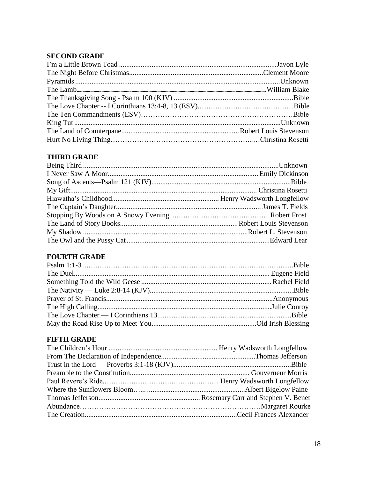# **SECOND GRADE**

# **THIRD GRADE**

# **FOURTH GRADE**

# **FIFTH GRADE**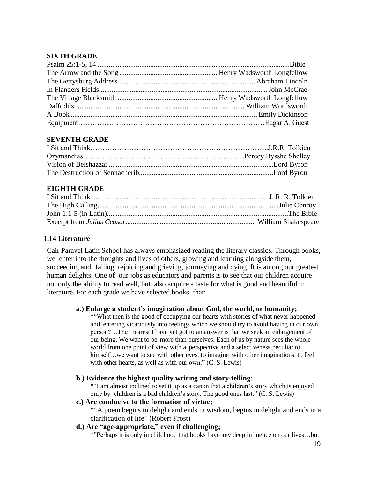### **SIXTH GRADE**

#### **SEVENTH GRADE**

### **EIGHTH GRADE**

### **1.14 Literature**

Cair Paravel Latin School has always emphasized reading the literary classics. Through books, we enter into the thoughts and lives of others, growing and learning alongside them, succeeding and failing, rejoicing and grieving, journeying and dying. It is among our greatest human delights. One of our jobs as educators and parents is to see that our children acquire not only the ability to read well, but also acquire a taste for what is good and beautiful in literature. For each grade we have selected books that:

#### **a.) Enlarge a student's imagination about God, the world, or humanity;**

\*"What then is the good of occupying our hearts with stories of what never happened and entering vicariously into feelings which we should try to avoid having in our own person?…The nearest I have yet got to an answer is that we seek an enlargement of our being. We want to be more than ourselves. Each of us by nature sees the whole world from one point of view with a perspective and a selectiveness peculiar to himself...we want to see with other eyes, to imagine with other imaginations, to feel with other hearts, as well as with our own." (C. S. Lewis)

#### **b.) Evidence the highest quality writing and story-telling;**

\*"I am almost inclined to set it up as a canon that a children's story which is enjoyed only by children is a bad children's story. The good ones last." (C. S. Lewis)

#### **c.) Are conducive to the formation of virtue;**

\*"A poem begins in delight and ends in wisdom, begins in delight and ends in a clarification of life" (Robert Frost)

### **d.) Are "age-appropriate," even if challenging;**

\*"Perhaps it is only in childhood that books have any deep influence on our lives…but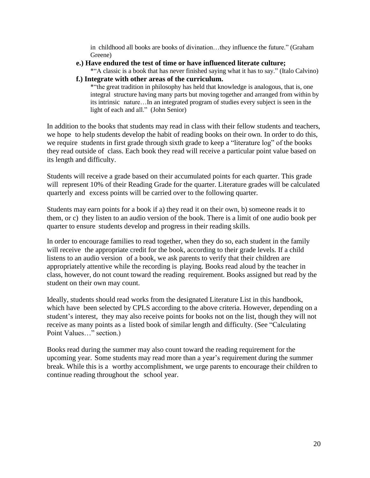in childhood all books are books of divination…they influence the future." (Graham Greene)

**e.) Have endured the test of time or have influenced literate culture;**

\*"A classic is a book that has never finished saying what it has to say." (Italo Calvino)

**f.) Integrate with other areas of the curriculum.**

\*"the great tradition in philosophy has held that knowledge is analogous, that is, one integral structure having many parts but moving together and arranged from within by its intrinsic nature…In an integrated program of studies every subject is seen in the light of each and all." (John Senior)

In addition to the books that students may read in class with their fellow students and teachers, we hope to help students develop the habit of reading books on their own. In order to do this, we require students in first grade through sixth grade to keep a "literature log" of the books they read outside of class. Each book they read will receive a particular point value based on its length and difficulty.

Students will receive a grade based on their accumulated points for each quarter. This grade will represent 10% of their Reading Grade for the quarter. Literature grades will be calculated quarterly and excess points will be carried over to the following quarter.

Students may earn points for a book if a) they read it on their own, b) someone reads it to them, or c) they listen to an audio version of the book. There is a limit of one audio book per quarter to ensure students develop and progress in their reading skills.

In order to encourage families to read together, when they do so, each student in the family will receive the appropriate credit for the book, according to their grade levels. If a child listens to an audio version of a book, we ask parents to verify that their children are appropriately attentive while the recording is playing. Books read aloud by the teacher in class, however, do not count toward the reading requirement. Books assigned but read by the student on their own may count.

Ideally, students should read works from the designated Literature List in this handbook, which have been selected by CPLS according to the above criteria. However, depending on a student's interest, they may also receive points for books not on the list, though they will not receive as many points as a listed book of similar length and difficulty. (See "Calculating Point Values…" section.)

Books read during the summer may also count toward the reading requirement for the upcoming year. Some students may read more than a year's requirement during the summer break. While this is a worthy accomplishment, we urge parents to encourage their children to continue reading throughout the school year.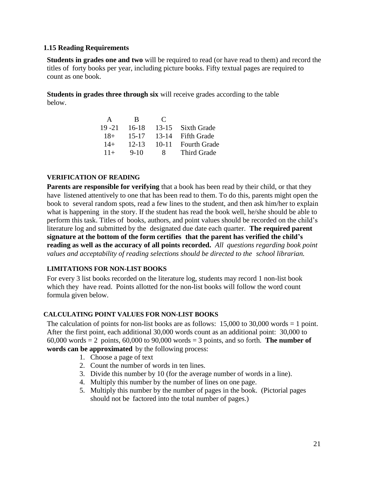#### **1.15 Reading Requirements**

**Students in grades one and two** will be required to read (or have read to them) and record the titles of forty books per year, including picture books. Fifty textual pages are required to count as one book.

 **Students in grades three through six** will receive grades according to the table below.

| A         | -R        | $\mathbb{C}$ |                     |
|-----------|-----------|--------------|---------------------|
| $19 - 21$ | $16-18$   | $13 - 15$    | Sixth Grade         |
| $18+$     | $15 - 17$ | $13 - 14$    | <b>Fifth Grade</b>  |
| $14+$     | $12 - 13$ | $10 - 11$    | <b>Fourth Grade</b> |
| $11+$     | $9 - 10$  | 8            | Third Grade         |

#### **VERIFICATION OF READING**

**Parents are responsible for verifying** that a book has been read by their child, or that they have listened attentively to one that has been read to them. To do this, parents might open the book to several random spots, read a few lines to the student, and then ask him/her to explain what is happening in the story. If the student has read the book well, he/she should be able to perform this task. Titles of books, authors, and point values should be recorded on the child's literature log and submitted by the designated due date each quarter. **The required parent signature at the bottom of the form certifies that the parent has verified the child's reading as well as the accuracy of all points recorded.** *All questions regarding book point values and acceptability of reading selections should be directed to the school librarian.*

#### **LIMITATIONS FOR NON-LIST BOOKS**

For every 3 list books recorded on the literature log, students may record 1 non-list book which they have read. Points allotted for the non-list books will follow the word count formula given below.

#### **CALCULATING POINT VALUES FOR NON-LIST BOOKS**

The calculation of points for non-list books are as follows:  $15,000$  to  $30,000$  words  $= 1$  point. After the first point, each additional 30,000 words count as an additional point: 30,000 to 60,000 words = 2 points, 60,000 to 90,000 words = 3 points, and so forth. **The number of words can be approximated** by the following process:

- 1. Choose a page of text
- 2. Count the number of words in ten lines.
- 3. Divide this number by 10 (for the average number of words in a line).
- 4. Multiply this number by the number of lines on one page.
- 5. Multiply this number by the number of pages in the book. (Pictorial pages should not be factored into the total number of pages.)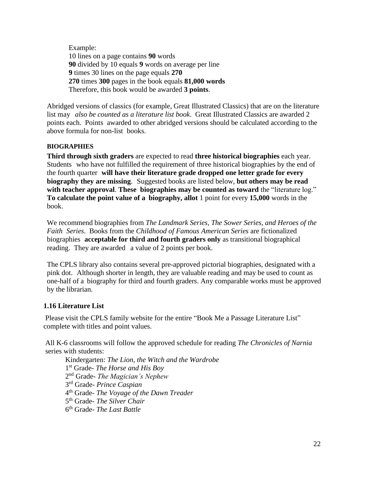Example: 10 lines on a page contains **90** words **90** divided by 10 equals **9** words on average per line **9** times 30 lines on the page equals **270 270** times **300** pages in the book equals **81,000 words** Therefore, this book would be awarded **3 points**.

Abridged versions of classics (for example, Great Illustrated Classics) that are on the literature list may *also be counted as a literature list book*. Great Illustrated Classics are awarded 2 points each. Points awarded to other abridged versions should be calculated according to the above formula for non-list books.

#### **BIOGRAPHIES**

**Third through sixth graders** are expected to read **three historical biographies** each year. Students who have not fulfilled the requirement of three historical biographies by the end of the fourth quarter **will have their literature grade dropped one letter grade for every biography they are missing**. Suggested books are listed below, **but others may be read with teacher approval**. **These biographies may be counted as toward** the "literature log." **To calculate the point value of a biography, allot** 1 point for every **15,000** words in the book.

We recommend biographies from *The Landmark Series, The Sower Series, and Heroes of the Faith Series*. Books from the *Childhood of Famous American Series* are fictionalized biographies **acceptable for third and fourth graders only** as transitional biographical reading. They are awarded a value of 2 points per book.

The CPLS library also contains several pre-approved pictorial biographies, designated with a pink dot. Although shorter in length, they are valuable reading and may be used to count as one-half of a biography for third and fourth graders. Any comparable works must be approved by the librarian.

#### **1.16 Literature List**

Please visit the CPLS family website for the entire "Book Me a Passage Literature List" complete with titles and point values.

All K-6 classrooms will follow the approved schedule for reading *The Chronicles of Narnia* series with students:

Kindergarten: *The Lion, the Witch and the Wardrobe* st Grade- *The Horse and His Boy* nd Grade- *The Magician's Nephew* rd Grade- *Prince Caspian* th Grade- *The Voyage of the Dawn Treader* th Grade- *The Silver Chair* th Grade- *The Last Battle*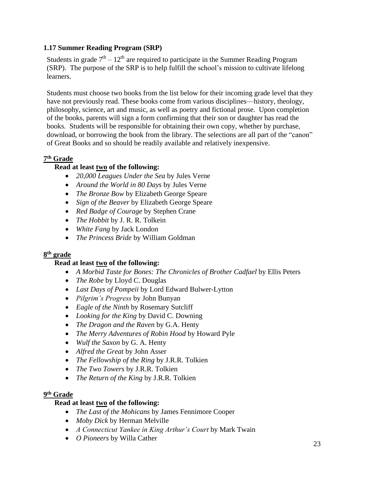### **1.17 Summer Reading Program (SRP)**

Students in grade  $7<sup>th</sup> - 12<sup>th</sup>$  are required to participate in the Summer Reading Program (SRP). The purpose of the SRP is to help fulfill the school's mission to cultivate lifelong learners.

Students must choose two books from the list below for their incoming grade level that they have not previously read. These books come from various disciplines—history, theology, philosophy, science, art and music, as well as poetry and fictional prose. Upon completion of the books, parents will sign a form confirming that their son or daughter has read the books. Students will be responsible for obtaining their own copy, whether by purchase, download, or borrowing the book from the library. The selections are all part of the "canon" of Great Books and so should be readily available and relatively inexpensive.

#### **7 th Grade**

# **Read at least two of the following:**

- *20,000 Leagues Under the Sea* by Jules Verne
- *Around the World in 80 Days* by Jules Verne
- *The Bronze Bow* by Elizabeth George Speare
- *Sign of the Beaver* by Elizabeth George Speare
- *Red Badge of Courage* by Stephen Crane
- *The Hobbit* by J. R. R. Tolkein
- *White Fang* by Jack London
- *The Princess Bride* by William Goldman

#### **8 th grade**

#### **Read at least two of the following:**

- *A Morbid Taste for Bones: The Chronicles of Brother Cadfael* by Ellis Peters
- *The Robe* by Lloyd C. Douglas
- *Last Days of Pompeii* by Lord Edward Bulwer-Lytton
- *Pilgrim's Progress* by John Bunyan
- *Eagle of the Ninth* by Rosemary Sutcliff
- *Looking for the King* by David C. Downing
- *The Dragon and the Raven* by G.A. Henty
- *The Merry Adventures of Robin Hood* by Howard Pyle
- *Wulf the Saxon* by G. A. Henty
- *Alfred the Great* by John Asser
- *The Fellowship of the Ring* by J.R.R. Tolkien
- *The Two Towers* by J.R.R. Tolkien
- *The Return of the King* by J.R.R. Tolkien

#### **9 th Grade**

#### **Read at least two of the following:**

- *The Last of the Mohicans* by James Fennimore Cooper
- *Moby Dick* by Herman Melville
- *A Connecticut Yankee in King Arthur's Court* by Mark Twain
- *O Pioneers* by Willa Cather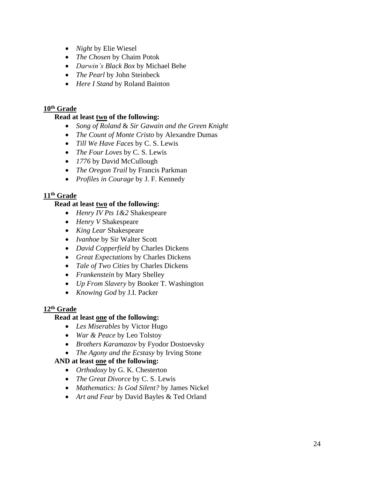- *Night* by Elie Wiesel
- *The Chosen* by Chaim Potok
- *Darwin's Black Box* by Michael Behe
- *The Pearl* by John Steinbeck
- *Here I Stand* by Roland Bainton

#### **10th Grade**

#### **Read at least two of the following:**

- *Song of Roland* & *Sir Gawain and the Green Knight*
- *The Count of Monte Cristo* by Alexandre Dumas
- *Till We Have Faces* by C. S. Lewis
- *The Four Loves* by C. S. Lewis
- *1776* by David McCullough
- *The Oregon Trail* by Francis Parkman
- *Profiles in Courage* by J. F. Kennedy

### **11th Grade**

#### **Read at least two of the following:**

- *Henry IV Pts 1&2* Shakespeare
- *Henry V* Shakespeare
- *King Lear* Shakespeare
- *Ivanhoe* by Sir Walter Scott
- *David Copperfield* by Charles Dickens
- *Great Expectations* by Charles Dickens
- *Tale of Two Cities* by Charles Dickens
- *Frankenstein* by Mary Shelley
- *Up From Slavery* by Booker T. Washington
- *Knowing God* by J.I. Packer

#### **12th Grade**

#### **Read at least one of the following:**

- *Les Miserables* by Victor Hugo
- *War & Peace* by Leo Tolstoy
- *Brothers Karamazov* by Fyodor Dostoevsky
- *The Agony and the Ecstasy* by Irving Stone

# **AND at least one of the following:**

- *Orthodoxy* by G. K. Chesterton
- *The Great Divorce* by C. S. Lewis
- *Mathematics: Is God Silent?* by James Nickel
- *Art and Fear* by David Bayles & Ted Orland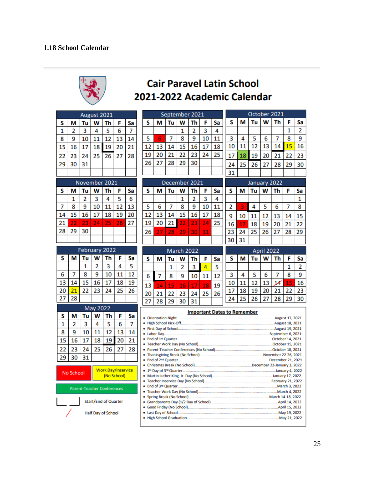

# **Cair Paravel Latin School** 2021-2022 Academic Calendar

|                           |                |                                   | August 2021 |                             |                                          |                |    | September 2021 |               |              |                | October 2021 |                                    |                              |    |              |            |    |    |                |
|---------------------------|----------------|-----------------------------------|-------------|-----------------------------|------------------------------------------|----------------|----|----------------|---------------|--------------|----------------|--------------|------------------------------------|------------------------------|----|--------------|------------|----|----|----------------|
| s                         | м              | Tu                                | W           | Th                          | F                                        | Sa             | s  | м              | Tu            | W            | Th             | F            | Sa                                 | s                            | М  | Tu           | W          | Th | F  | Sa             |
| 1                         | $\overline{2}$ | 3                                 | 4           | 5                           | 6                                        | $\overline{7}$ |    |                |               | $\mathbf{1}$ | $\overline{2}$ | 3            | 4                                  |                              |    |              |            |    | 1  | $\overline{2}$ |
| 8                         | 9              | 10                                | 11          | 12                          | 13                                       | 14             | 5  | 6              | 7             | 8            | 9              | 10           | 11                                 | 3                            | 4  | 5            | 6          | 7  | 8  | 9              |
| 15                        | 16             | 17                                | 18          | 19                          | 20                                       | 21             | 12 | 13             | 14            | 15           | 16             | 17           | 18                                 | 10                           | 11 | 12           | 13         | 14 | 15 | 16             |
| 22                        | 23             | 24                                | 25          | 26                          | 27                                       | 28             | 19 | 20             | 21            | 22           | 23             | 24           | 25                                 | 17                           | 18 | 19           | 20         | 21 | 22 | 23             |
| 29                        | 30             | 31                                |             |                             |                                          |                | 26 | 27             | 28            | 29           | 30             |              |                                    | 24                           | 25 | 26           | 27         | 28 | 29 | 30             |
|                           |                |                                   |             |                             |                                          |                |    |                |               |              |                |              |                                    | 31                           |    |              |            |    |    |                |
|                           |                | November 2021                     |             |                             |                                          |                |    |                | December 2021 |              |                |              |                                    |                              |    | January 2022 |            |    |    |                |
| s                         | м              | Tu                                | W           | Th                          | F                                        | Sa             | s  | м              | Tu            | W            | Th             | F            | Sa                                 | S<br>W<br>F<br>м<br>Tu<br>Th |    |              |            |    | Sa |                |
|                           | 1              | 2                                 | 3           | 4                           | 5                                        | 6              |    |                |               | 1            | 2              | 3            | 4                                  |                              |    |              |            |    |    | 1              |
| 7                         | 8              | ٩                                 | 10          | 11                          | $\overline{12}$                          | 13             | 5  | 6              | 7             | 8            | 9              | 10           | 11                                 | 2                            | 3  | 4            | 5          | 6  | 7  | 8              |
| 14                        | 15             | 16                                | 17          | 18                          | 19                                       | 20             | 12 | 13             | 14            | 15           | 16             | 17           | 18                                 | 9                            | 10 | 11           | 12         | 13 | 14 | 15             |
| 21                        | 22             | 23                                | 24          | 25                          | 26                                       | 27             | 19 | 20             | 21            | 22           | 23             | 24           | 25                                 | 16                           | 17 | 18           | 19         | 20 | 21 | 22             |
| 28                        | 29             | 30                                |             |                             |                                          |                | 26 | 27             | 28            | 29           | 30             | 31           |                                    | 23                           | 24 | 25           | 26         | 27 | 28 | 29             |
|                           |                |                                   |             |                             |                                          |                |    |                |               |              |                |              |                                    | 30                           | 31 |              |            |    |    |                |
|                           |                | February 2022                     |             |                             |                                          |                |    |                |               | March 2022   |                |              |                                    |                              |    |              | April 2022 |    |    |                |
| s                         | м              | Tu                                | w           | Th                          | F                                        | Sa             | S  | м              | Tu            | W            | Th             | F            | Sa                                 | s                            | м  | Tu           | w          | Th | F  | Sa             |
|                           |                | 1                                 | 2           | 3                           | 4                                        | 5              |    |                | 1             | 2            | 3              | 4            | 5                                  |                              |    |              |            |    | 1  | 2              |
| 6                         | 7              | 8                                 | ٩           | 10                          | 11                                       | 12             | 6  | 7              | 8             | 9            | 10             | 11           | 12                                 | 3                            | 4  | 5            | 6          | 7  | 8  | ٩              |
| 13                        | 14             | 15                                | 16          | 17                          | 18                                       | 19             | 13 | 14             | 15            | 16           | 17             | 18           | 19                                 | 10                           | 11 | 12           | 13         | 14 | 15 | 16             |
| 20                        | 21             | 22                                | 23          | 24                          | 25                                       | 26             | 20 | 21             | 22            | 23           | 24             | 25           | 26                                 | 17                           | 18 | 19           | 20         | 21 | 22 | 23             |
| 27                        | 28             |                                   |             |                             |                                          |                | 27 | 28             | 29            | 30           | 31             |              |                                    | 24                           | 25 | 26           | 27         | 28 | 29 | 30             |
|                           |                |                                   | May 2022    |                             |                                          |                |    |                |               |              |                |              | <b>Important Dates to Remember</b> |                              |    |              |            |    |    |                |
| s                         | м              | Tu                                | W           | Th                          | F                                        | Sa             |    |                |               |              |                |              |                                    |                              |    |              |            |    |    |                |
| 1                         | 2              | 3                                 | 4           | 5                           | 6                                        | 7              |    |                |               |              |                |              |                                    |                              |    |              |            |    |    |                |
| 8                         | 9              | 10                                | 11          | 12                          | 13                                       | 14             |    |                |               |              |                |              |                                    |                              |    |              |            |    |    |                |
| 15                        | 16             | 17                                | 18          | 19                          | 20                                       | 21             |    |                |               |              |                |              |                                    |                              |    |              |            |    |    |                |
| 22                        | 23             | 24                                | 25          | 26                          | 27                                       | 28             |    |                |               |              |                |              |                                    |                              |    |              |            |    |    |                |
| 29                        | 30             | 31                                |             |                             |                                          |                |    |                |               |              |                |              |                                    |                              |    |              |            |    |    |                |
|                           |                |                                   |             |                             |                                          |                |    |                |               |              |                |              |                                    |                              |    |              |            |    |    |                |
|                           | No School      |                                   |             |                             | <b>Work Day/Inservice</b><br>(No School) |                |    |                |               |              |                |              |                                    |                              |    |              |            |    |    |                |
|                           |                |                                   |             |                             |                                          |                |    |                |               |              |                |              |                                    |                              |    |              |            |    |    |                |
|                           |                | <b>Parent-Teacher Conferences</b> |             |                             |                                          |                |    |                |               |              |                |              |                                    |                              |    |              |            |    |    |                |
|                           |                |                                   |             |                             |                                          |                |    |                |               |              |                |              |                                    |                              |    |              |            |    |    |                |
|                           |                |                                   |             | <b>Start/End of Quarter</b> |                                          |                |    |                |               |              |                |              |                                    |                              |    |              |            |    |    |                |
| <b>Half Day of School</b> |                |                                   |             |                             |                                          |                |    |                |               |              |                |              |                                    |                              |    |              |            |    |    |                |
|                           |                |                                   |             |                             |                                          |                |    |                |               |              |                |              |                                    |                              |    |              |            |    |    |                |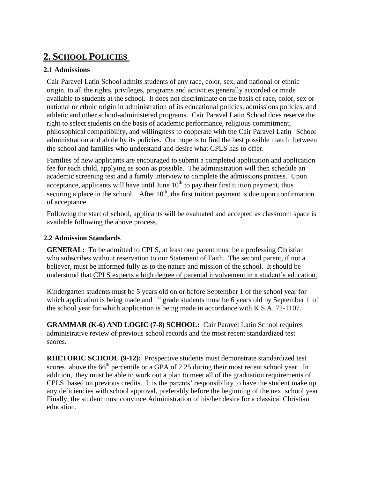# **2. SCHOOL POLICIES**

## **2.1 Admissions**

Cair Paravel Latin School admits students of any race, color, sex, and national or ethnic origin, to all the rights, privileges, programs and activities generally accorded or made available to students at the school. It does not discriminate on the basis of race, color, sex or national or ethnic origin in administration of its educational policies, admissions policies, and athletic and other school-administered programs. Cair Paravel Latin School does reserve the right to select students on the basis of academic performance, religious commitment, philosophical compatibility, and willingness to cooperate with the Cair Paravel Latin School administration and abide by its policies. Our hope is to find the best possible match between the school and families who understand and desire what CPLS has to offer.

Families of new applicants are encouraged to submit a completed application and application fee for each child, applying as soon as possible. The administration will then schedule an academic screening test and a family interview to complete the admissions process. Upon acceptance, applicants will have until June  $10<sup>th</sup>$  to pay their first tuition payment, thus securing a place in the school. After  $10<sup>th</sup>$ , the first tuition payment is due upon confirmation of acceptance.

Following the start of school, applicants will be evaluated and accepted as classroom space is available following the above process.

#### **2.2 Admission Standards**

**GENERAL:** To be admitted to CPLS, at least one parent must be a professing Christian who subscribes without reservation to our Statement of Faith. The second parent, if not a believer, must be informed fully as to the nature and mission of the school. It should be understood that CPLS expects a high degree of parental involvement in a student's education.

Kindergarten students must be 5 years old on or before September 1 of the school year for which application is being made and  $1<sup>st</sup>$  grade students must be 6 years old by September 1 of the school year for which application is being made in accordance with K.S.A. 72-1107.

**GRAMMAR (K-6) AND LOGIC (7-8) SCHOOL:** Cair Paravel Latin School requires administrative review of previous school records and the most recent standardized test scores.

**RHETORIC SCHOOL (9-12):** Prospective students must demonstrate standardized test scores above the  $66<sup>th</sup>$  percentile or a GPA of 2.25 during their most recent school year. In addition, they must be able to work out a plan to meet all of the graduation requirements of CPLS based on previous credits. It is the parents' responsibility to have the student make up any deficiencies with school approval, preferably before the beginning of the next school year. Finally, the student must convince Administration of his/her desire for a classical Christian education.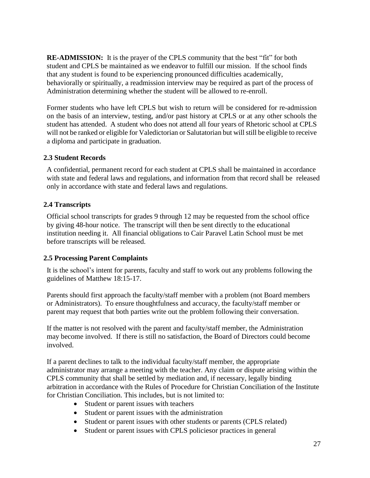**RE-ADMISSION:** It is the prayer of the CPLS community that the best "fit" for both student and CPLS be maintained as we endeavor to fulfill our mission. If the school finds that any student is found to be experiencing pronounced difficulties academically, behaviorally or spiritually, a readmission interview may be required as part of the process of Administration determining whether the student will be allowed to re-enroll.

Former students who have left CPLS but wish to return will be considered for re-admission on the basis of an interview, testing, and/or past history at CPLS or at any other schools the student has attended. A student who does not attend all four years of Rhetoric school at CPLS will not be ranked or eligible for Valedictorian or Salutatorian but will still be eligible to receive a diploma and participate in graduation.

#### **2.3 Student Records**

A confidential, permanent record for each student at CPLS shall be maintained in accordance with state and federal laws and regulations, and information from that record shall be released only in accordance with state and federal laws and regulations.

#### **2.4 Transcripts**

Official school transcripts for grades 9 through 12 may be requested from the school office by giving 48-hour notice. The transcript will then be sent directly to the educational institution needing it. All financial obligations to Cair Paravel Latin School must be met before transcripts will be released.

#### **2.5 Processing Parent Complaints**

It is the school's intent for parents, faculty and staff to work out any problems following the guidelines of Matthew 18:15-17.

Parents should first approach the faculty/staff member with a problem (not Board members or Administrators). To ensure thoughtfulness and accuracy, the faculty/staff member or parent may request that both parties write out the problem following their conversation.

If the matter is not resolved with the parent and faculty/staff member, the Administration may become involved. If there is still no satisfaction, the Board of Directors could become involved.

If a parent declines to talk to the individual faculty/staff member, the appropriate administrator may arrange a meeting with the teacher. Any claim or dispute arising within the CPLS community that shall be settled by mediation and, if necessary, legally binding arbitration in accordance with the Rules of Procedure for Christian Conciliation of the Institute for Christian Conciliation. This includes, but is not limited to:

- Student or parent issues with teachers
- Student or parent issues with the administration
- Student or parent issues with other students or parents (CPLS related)
- Student or parent issues with CPLS policies or practices in general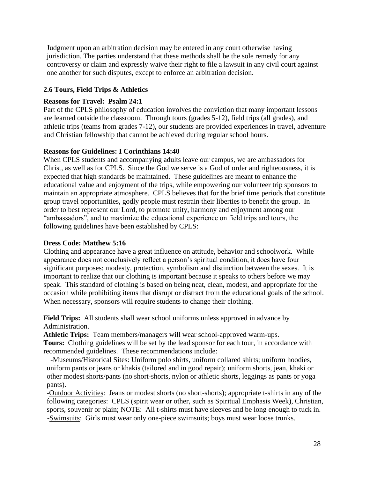Judgment upon an arbitration decision may be entered in any court otherwise having jurisdiction. The parties understand that these methods shall be the sole remedy for any controversy or claim and expressly waive their right to file a lawsuit in any civil court against one another for such disputes, except to enforce an arbitration decision.

### **2.6 Tours, Field Trips & Athletics**

#### **Reasons for Travel: Psalm 24:1**

Part of the CPLS philosophy of education involves the conviction that many important lessons are learned outside the classroom. Through tours (grades 5-12), field trips (all grades), and athletic trips (teams from grades 7-12), our students are provided experiences in travel, adventure and Christian fellowship that cannot be achieved during regular school hours.

#### **Reasons for Guidelines: I Corinthians 14:40**

When CPLS students and accompanying adults leave our campus, we are ambassadors for Christ, as well as for CPLS. Since the God we serve is a God of order and righteousness, it is expected that high standards be maintained. These guidelines are meant to enhance the educational value and enjoyment of the trips, while empowering our volunteer trip sponsors to maintain an appropriate atmosphere. CPLS believes that for the brief time periods that constitute group travel opportunities, godly people must restrain their liberties to benefit the group. In order to best represent our Lord, to promote unity, harmony and enjoyment among our "ambassadors", and to maximize the educational experience on field trips and tours, the following guidelines have been established by CPLS:

#### **Dress Code: Matthew 5:16**

Clothing and appearance have a great influence on attitude, behavior and schoolwork. While appearance does not conclusively reflect a person's spiritual condition, it does have four significant purposes: modesty, protection, symbolism and distinction between the sexes. It is important to realize that our clothing is important because it speaks to others before we may speak. This standard of clothing is based on being neat, clean, modest, and appropriate for the occasion while prohibiting items that disrupt or distract from the educational goals of the school. When necessary, sponsors will require students to change their clothing.

**Field Trips:** All students shall wear school uniforms unless approved in advance by Administration.

**Athletic Trips:** Team members/managers will wear school-approved warm-ups.

**Tours:** Clothing guidelines will be set by the lead sponsor for each tour, in accordance with recommended guidelines. These recommendations include:

 -Museums/Historical Sites: Uniform polo shirts, uniform collared shirts; uniform hoodies, uniform pants or jeans or khakis (tailored and in good repair); uniform shorts, jean, khaki or other modest shorts/pants (no short-shorts, nylon or athletic shorts, leggings as pants or yoga pants).

-Outdoor Activities: Jeans or modest shorts (no short-shorts); appropriate t-shirts in any of the following categories: CPLS (spirit wear or other, such as Spiritual Emphasis Week), Christian, sports, souvenir or plain; NOTE: All t-shirts must have sleeves and be long enough to tuck in. -Swimsuits: Girls must wear only one-piece swimsuits; boys must wear loose trunks.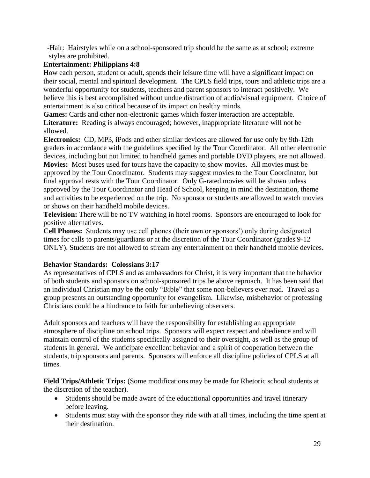-Hair: Hairstyles while on a school-sponsored trip should be the same as at school; extreme styles are prohibited.

### **Entertainment: Philippians 4:8**

How each person, student or adult, spends their leisure time will have a significant impact on their social, mental and spiritual development. The CPLS field trips, tours and athletic trips are a wonderful opportunity for students, teachers and parent sponsors to interact positively. We believe this is best accomplished without undue distraction of audio/visual equipment. Choice of entertainment is also critical because of its impact on healthy minds.

**Games:** Cards and other non-electronic games which foster interaction are acceptable. **Literature:** Reading is always encouraged; however, inappropriate literature will not be allowed.

**Electronics:** CD, MP3, iPods and other similar devices are allowed for use only by 9th-12th graders in accordance with the guidelines specified by the Tour Coordinator. All other electronic devices, including but not limited to handheld games and portable DVD players, are not allowed.

**Movies:** Most buses used for tours have the capacity to show movies. All movies must be approved by the Tour Coordinator. Students may suggest movies to the Tour Coordinator, but final approval rests with the Tour Coordinator. Only G-rated movies will be shown unless approved by the Tour Coordinator and Head of School, keeping in mind the destination, theme and activities to be experienced on the trip. No sponsor or students are allowed to watch movies or shows on their handheld mobile devices.

**Television:** There will be no TV watching in hotel rooms. Sponsors are encouraged to look for positive alternatives.

**Cell Phones:** Students may use cell phones (their own or sponsors') only during designated times for calls to parents/guardians or at the discretion of the Tour Coordinator (grades 9-12 ONLY). Students are not allowed to stream any entertainment on their handheld mobile devices.

#### **Behavior Standards: Colossians 3:17**

As representatives of CPLS and as ambassadors for Christ, it is very important that the behavior of both students and sponsors on school-sponsored trips be above reproach. It has been said that an individual Christian may be the only "Bible" that some non-believers ever read. Travel as a group presents an outstanding opportunity for evangelism. Likewise, misbehavior of professing Christians could be a hindrance to faith for unbelieving observers.

Adult sponsors and teachers will have the responsibility for establishing an appropriate atmosphere of discipline on school trips. Sponsors will expect respect and obedience and will maintain control of the students specifically assigned to their oversight, as well as the group of students in general. We anticipate excellent behavior and a spirit of cooperation between the students, trip sponsors and parents. Sponsors will enforce all discipline policies of CPLS at all times.

**Field Trips/Athletic Trips:** (Some modifications may be made for Rhetoric school students at the discretion of the teacher).

- Students should be made aware of the educational opportunities and travel itinerary before leaving.
- Students must stay with the sponsor they ride with at all times, including the time spent at their destination.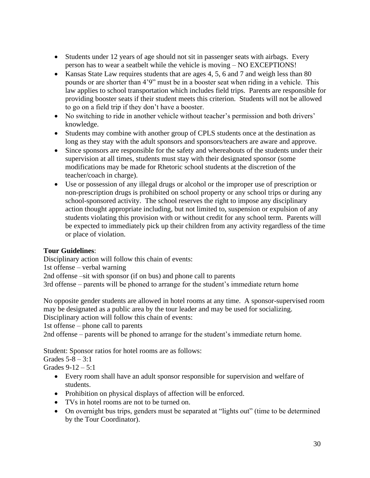- Students under 12 years of age should not sit in passenger seats with airbags. Every person has to wear a seatbelt while the vehicle is moving – NO EXCEPTIONS!
- Kansas State Law requires students that are ages 4, 5, 6 and 7 and weigh less than 80 pounds or are shorter than 4'9" must be in a booster seat when riding in a vehicle. This law applies to school transportation which includes field trips. Parents are responsible for providing booster seats if their student meets this criterion. Students will not be allowed to go on a field trip if they don't have a booster.
- No switching to ride in another vehicle without teacher's permission and both drivers' knowledge.
- Students may combine with another group of CPLS students once at the destination as long as they stay with the adult sponsors and sponsors/teachers are aware and approve.
- Since sponsors are responsible for the safety and whereabouts of the students under their supervision at all times, students must stay with their designated sponsor (some modifications may be made for Rhetoric school students at the discretion of the teacher/coach in charge).
- Use or possession of any illegal drugs or alcohol or the improper use of prescription or non-prescription drugs is prohibited on school property or any school trips or during any school-sponsored activity. The school reserves the right to impose any disciplinary action thought appropriate including, but not limited to, suspension or expulsion of any students violating this provision with or without credit for any school term. Parents will be expected to immediately pick up their children from any activity regardless of the time or place of violation.

#### **Tour Guidelines**:

Disciplinary action will follow this chain of events:

1st offense – verbal warning

2nd offense –sit with sponsor (if on bus) and phone call to parents

3rd offense – parents will be phoned to arrange for the student's immediate return home

No opposite gender students are allowed in hotel rooms at any time. A sponsor-supervised room may be designated as a public area by the tour leader and may be used for socializing.

Disciplinary action will follow this chain of events:

1st offense – phone call to parents

2nd offense – parents will be phoned to arrange for the student's immediate return home.

Student: Sponsor ratios for hotel rooms are as follows:

Grades  $5 - 8 - 3:1$ 

Grades  $9-12 - 5:1$ 

- Every room shall have an adult sponsor responsible for supervision and welfare of students.
- Prohibition on physical displays of affection will be enforced.
- TVs in hotel rooms are not to be turned on.
- On overnight bus trips, genders must be separated at "lights out" (time to be determined by the Tour Coordinator).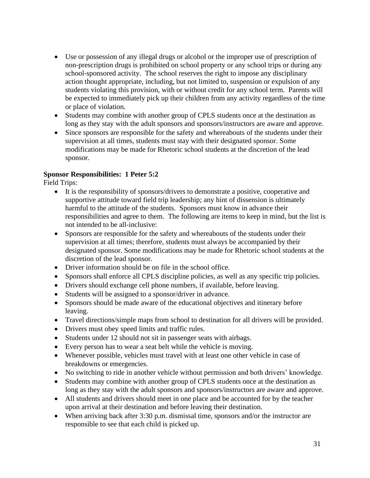- Use or possession of any illegal drugs or alcohol or the improper use of prescription of non-prescription drugs is prohibited on school property or any school trips or during any school-sponsored activity. The school reserves the right to impose any disciplinary action thought appropriate, including, but not limited to, suspension or expulsion of any students violating this provision, with or without credit for any school term. Parents will be expected to immediately pick up their children from any activity regardless of the time or place of violation.
- Students may combine with another group of CPLS students once at the destination as long as they stay with the adult sponsors and sponsors/instructors are aware and approve.
- Since sponsors are responsible for the safety and whereabouts of the students under their supervision at all times, students must stay with their designated sponsor. Some modifications may be made for Rhetoric school students at the discretion of the lead sponsor.

#### **Sponsor Responsibilities: 1 Peter 5:2**

Field Trips:

- It is the responsibility of sponsors/drivers to demonstrate a positive, cooperative and supportive attitude toward field trip leadership; any hint of dissension is ultimately harmful to the attitude of the students. Sponsors must know in advance their responsibilities and agree to them. The following are items to keep in mind, but the list is not intended to be all-inclusive:
- Sponsors are responsible for the safety and whereabouts of the students under their supervision at all times; therefore, students must always be accompanied by their designated sponsor. Some modifications may be made for Rhetoric school students at the discretion of the lead sponsor.
- Driver information should be on file in the school office.
- Sponsors shall enforce all CPLS discipline policies, as well as any specific trip policies.
- Drivers should exchange cell phone numbers, if available, before leaving.
- Students will be assigned to a sponsor/driver in advance.
- Sponsors should be made aware of the educational objectives and itinerary before leaving.
- Travel directions/simple maps from school to destination for all drivers will be provided.
- Drivers must obey speed limits and traffic rules.
- Students under 12 should not sit in passenger seats with airbags.
- Every person has to wear a seat belt while the vehicle is moving.
- Whenever possible, vehicles must travel with at least one other vehicle in case of breakdowns or emergencies.
- No switching to ride in another vehicle without permission and both drivers' knowledge.
- Students may combine with another group of CPLS students once at the destination as long as they stay with the adult sponsors and sponsors/instructors are aware and approve.
- All students and drivers should meet in one place and be accounted for by the teacher upon arrival at their destination and before leaving their destination.
- When arriving back after 3:30 p.m. dismissal time, sponsors and/or the instructor are responsible to see that each child is picked up.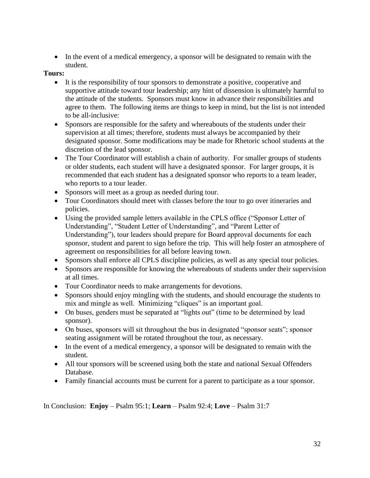• In the event of a medical emergency, a sponsor will be designated to remain with the student.

#### **Tours:**

- It is the responsibility of tour sponsors to demonstrate a positive, cooperative and supportive attitude toward tour leadership; any hint of dissension is ultimately harmful to the attitude of the students. Sponsors must know in advance their responsibilities and agree to them. The following items are things to keep in mind, but the list is not intended to be all-inclusive:
- Sponsors are responsible for the safety and whereabouts of the students under their supervision at all times; therefore, students must always be accompanied by their designated sponsor. Some modifications may be made for Rhetoric school students at the discretion of the lead sponsor.
- The Tour Coordinator will establish a chain of authority. For smaller groups of students or older students, each student will have a designated sponsor. For larger groups, it is recommended that each student has a designated sponsor who reports to a team leader, who reports to a tour leader.
- Sponsors will meet as a group as needed during tour.
- Tour Coordinators should meet with classes before the tour to go over itineraries and policies.
- Using the provided sample letters available in the CPLS office ("Sponsor Letter of Understanding", "Student Letter of Understanding", and "Parent Letter of Understanding"), tour leaders should prepare for Board approval documents for each sponsor, student and parent to sign before the trip. This will help foster an atmosphere of agreement on responsibilities for all before leaving town.
- Sponsors shall enforce all CPLS discipline policies, as well as any special tour policies.
- Sponsors are responsible for knowing the whereabouts of students under their supervision at all times.
- Tour Coordinator needs to make arrangements for devotions.
- Sponsors should enjoy mingling with the students, and should encourage the students to mix and mingle as well. Minimizing "cliques" is an important goal.
- On buses, genders must be separated at "lights out" (time to be determined by lead sponsor).
- On buses, sponsors will sit throughout the bus in designated "sponsor seats"; sponsor seating assignment will be rotated throughout the tour, as necessary.
- In the event of a medical emergency, a sponsor will be designated to remain with the student.
- All tour sponsors will be screened using both the state and national Sexual Offenders Database.
- Family financial accounts must be current for a parent to participate as a tour sponsor.

In Conclusion: **Enjoy** – Psalm 95:1; **Learn** – Psalm 92:4; **Love** – Psalm 31:7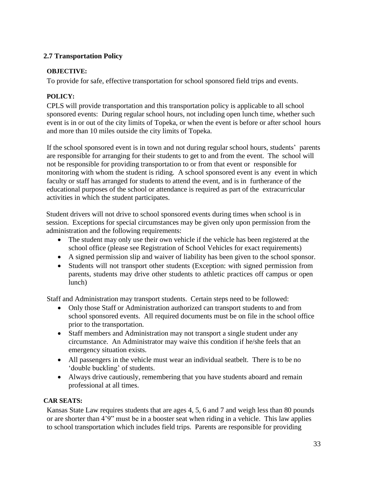### **2.7 Transportation Policy**

#### **OBJECTIVE:**

To provide for safe, effective transportation for school sponsored field trips and events.

# **POLICY:**

CPLS will provide transportation and this transportation policy is applicable to all school sponsored events: During regular school hours, not including open lunch time, whether such event is in or out of the city limits of Topeka, or when the event is before or after school hours and more than 10 miles outside the city limits of Topeka.

If the school sponsored event is in town and not during regular school hours, students' parents are responsible for arranging for their students to get to and from the event. The school will not be responsible for providing transportation to or from that event or responsible for monitoring with whom the student is riding. A school sponsored event is any event in which faculty or staff has arranged for students to attend the event, and is in furtherance of the educational purposes of the school or attendance is required as part of the extracurricular activities in which the student participates.

Student drivers will not drive to school sponsored events during times when school is in session. Exceptions for special circumstances may be given only upon permission from the administration and the following requirements:

- The student may only use their own vehicle if the vehicle has been registered at the school office (please see Registration of School Vehicles for exact requirements)
- A signed permission slip and waiver of liability has been given to the school sponsor.
- Students will not transport other students (Exception: with signed permission from parents, students may drive other students to athletic practices off campus or open lunch)

Staff and Administration may transport students. Certain steps need to be followed:

- Only those Staff or Administration authorized can transport students to and from school sponsored events. All required documents must be on file in the school office prior to the transportation.
- Staff members and Administration may not transport a single student under any circumstance. An Administrator may waive this condition if he/she feels that an emergency situation exists.
- All passengers in the vehicle must wear an individual seatbelt. There is to be no 'double buckling' of students.
- Always drive cautiously, remembering that you have students aboard and remain professional at all times.

# **CAR SEATS:**

Kansas State Law requires students that are ages 4, 5, 6 and 7 and weigh less than 80 pounds or are shorter than 4'9" must be in a booster seat when riding in a vehicle. This law applies to school transportation which includes field trips. Parents are responsible for providing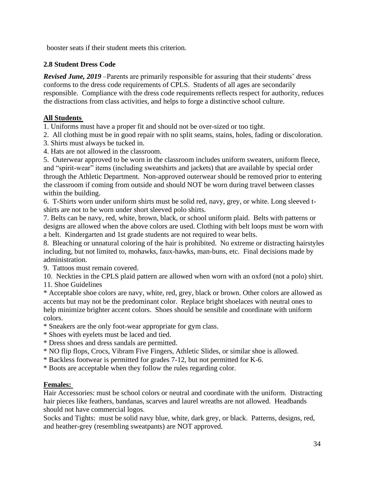booster seats if their student meets this criterion.

### **2.8 Student Dress Code**

*Revised June, 2019* –Parents are primarily responsible for assuring that their students' dress conforms to the dress code requirements of CPLS. Students of all ages are secondarily responsible. Compliance with the dress code requirements reflects respect for authority, reduces the distractions from class activities, and helps to forge a distinctive school culture.

### **All Students**

1. Uniforms must have a proper fit and should not be over-sized or too tight.

2. All clothing must be in good repair with no split seams, stains, holes, fading or discoloration.

- 3. Shirts must always be tucked in.
- 4. Hats are not allowed in the classroom.

5. Outerwear approved to be worn in the classroom includes uniform sweaters, uniform fleece, and "spirit-wear" items (including sweatshirts and jackets) that are available by special order through the Athletic Department. Non-approved outerwear should be removed prior to entering the classroom if coming from outside and should NOT be worn during travel between classes within the building.

6. T-Shirts worn under uniform shirts must be solid red, navy, grey, or white. Long sleeved tshirts are not to be worn under short sleeved polo shirts.

7. Belts can be navy, red, white, brown, black, or school uniform plaid. Belts with patterns or designs are allowed when the above colors are used. Clothing with belt loops must be worn with a belt. Kindergarten and 1st grade students are not required to wear belts.

8. Bleaching or unnatural coloring of the hair is prohibited. No extreme or distracting hairstyles including, but not limited to, mohawks, faux-hawks, man-buns, etc. Final decisions made by administration.

9. Tattoos must remain covered.

10. Neckties in the CPLS plaid pattern are allowed when worn with an oxford (not a polo) shirt. 11. Shoe Guidelines

\* Acceptable shoe colors are navy, white, red, grey, black or brown. Other colors are allowed as accents but may not be the predominant color. Replace bright shoelaces with neutral ones to help minimize brighter accent colors. Shoes should be sensible and coordinate with uniform colors.

\* Sneakers are the only foot-wear appropriate for gym class.

\* Shoes with eyelets must be laced and tied.

- \* Dress shoes and dress sandals are permitted.
- \* NO flip flops, Crocs, Vibram Five Fingers, Athletic Slides, or similar shoe is allowed.
- \* Backless footwear is permitted for grades 7-12, but not permitted for K-6.
- \* Boots are acceptable when they follow the rules regarding color.

#### **Females:**

Hair Accessories: must be school colors or neutral and coordinate with the uniform. Distracting hair pieces like feathers, bandanas, scarves and laurel wreaths are not allowed. Headbands should not have commercial logos.

Socks and Tights: must be solid navy blue, white, dark grey, or black. Patterns, designs, red, and heather-grey (resembling sweatpants) are NOT approved.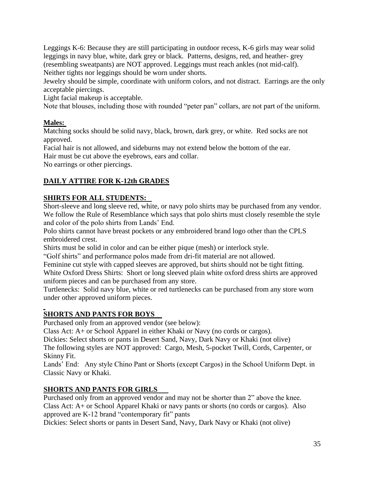Leggings K-6: Because they are still participating in outdoor recess, K-6 girls may wear solid leggings in navy blue, white, dark grey or black. Patterns, designs, red, and heather- grey (resembling sweatpants) are NOT approved. Leggings must reach ankles (not mid-calf). Neither tights nor leggings should be worn under shorts.

Jewelry should be simple, coordinate with uniform colors, and not distract. Earrings are the only acceptable piercings.

Light facial makeup is acceptable.

Note that blouses, including those with rounded "peter pan" collars, are not part of the uniform.

# **Males:**

Matching socks should be solid navy, black, brown, dark grey, or white. Red socks are not approved.

Facial hair is not allowed, and sideburns may not extend below the bottom of the ear. Hair must be cut above the eyebrows, ears and collar.

No earrings or other piercings.

# **DAILY ATTIRE FOR K-12th GRADES**

# **SHIRTS FOR ALL STUDENTS:**

Short-sleeve and long sleeve red, white, or navy polo shirts may be purchased from any vendor. We follow the Rule of Resemblance which says that polo shirts must closely resemble the style and color of the polo shirts from Lands' End.

Polo shirts cannot have breast pockets or any embroidered brand logo other than the CPLS embroidered crest.

Shirts must be solid in color and can be either pique (mesh) or interlock style.

"Golf shirts" and performance polos made from dri-fit material are not allowed.

Feminine cut style with capped sleeves are approved, but shirts should not be tight fitting.

White Oxford Dress Shirts: Short or long sleeved plain white oxford dress shirts are approved uniform pieces and can be purchased from any store.

Turtlenecks: Solid navy blue, white or red turtlenecks can be purchased from any store worn under other approved uniform pieces.

# **SHORTS AND PANTS FOR BOYS**

Purchased only from an approved vendor (see below):

Class Act: A+ or School Apparel in either Khaki or Navy (no cords or cargos).

Dickies: Select shorts or pants in Desert Sand, Navy, Dark Navy or Khaki (not olive)

The following styles are NOT approved: Cargo, Mesh, 5-pocket Twill, Cords, Carpenter, or Skinny Fit.

Lands' End: Any style Chino Pant or Shorts (except Cargos) in the School Uniform Dept. in Classic Navy or Khaki.

# **SHORTS AND PANTS FOR GIRLS**

Purchased only from an approved vendor and may not be shorter than 2" above the knee. Class Act: A+ or School Apparel Khaki or navy pants or shorts (no cords or cargos). Also approved are K-12 brand "contemporary fit" pants

Dickies: Select shorts or pants in Desert Sand, Navy, Dark Navy or Khaki (not olive)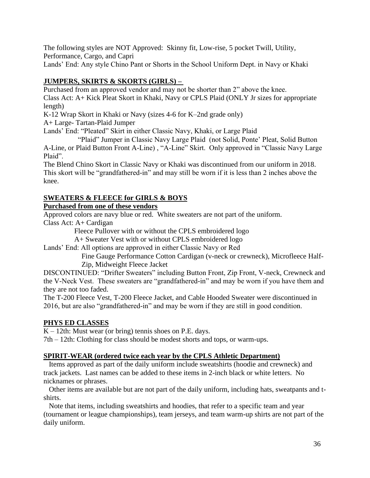The following styles are NOT Approved: Skinny fit, Low-rise, 5 pocket Twill, Utility, Performance, Cargo, and Capri

Lands' End: Any style Chino Pant or Shorts in the School Uniform Dept. in Navy or Khaki

# **JUMPERS, SKIRTS & SKORTS (GIRLS) –**

Purchased from an approved vendor and may not be shorter than 2" above the knee. Class Act: A+ Kick Pleat Skort in Khaki, Navy or CPLS Plaid (ONLY Jr sizes for appropriate length)

K-12 Wrap Skort in Khaki or Navy (sizes 4-6 for K–2nd grade only)

A+ Large- Tartan-Plaid Jumper

Lands' End: "Pleated" Skirt in either Classic Navy, Khaki, or Large Plaid

 "Plaid" Jumper in Classic Navy Large Plaid (not Solid, Ponte' Pleat, Solid Button A-Line, or Plaid Button Front A-Line) , "A-Line" Skirt. Only approved in "Classic Navy Large Plaid".

The Blend Chino Skort in Classic Navy or Khaki was discontinued from our uniform in 2018. This skort will be "grandfathered-in" and may still be worn if it is less than 2 inches above the knee.

# **SWEATERS & FLEECE for GIRLS & BOYS**

# **Purchased from one of these vendors**

Approved colors are navy blue or red. White sweaters are not part of the uniform. Class Act: A+ Cardigan

Fleece Pullover with or without the CPLS embroidered logo

A+ Sweater Vest with or without CPLS embroidered logo

Lands' End: All options are approved in either Classic Navy or Red

 Fine Gauge Performance Cotton Cardigan (v-neck or crewneck), Microfleece Half- Zip, Midweight Fleece Jacket

DISCONTINUED: "Drifter Sweaters" including Button Front, Zip Front, V-neck, Crewneck and the V-Neck Vest. These sweaters are "grandfathered-in" and may be worn if you have them and they are not too faded.

The T-200 Fleece Vest, T-200 Fleece Jacket, and Cable Hooded Sweater were discontinued in 2016, but are also "grandfathered-in" and may be worn if they are still in good condition.

# **PHYS ED CLASSES**

 $K - 12$ th: Must wear (or bring) tennis shoes on P.E. days.

7th – 12th: Clothing for class should be modest shorts and tops, or warm-ups.

#### **SPIRIT-WEAR (ordered twice each year by the CPLS Athletic Department)**

 Items approved as part of the daily uniform include sweatshirts (hoodie and crewneck) and track jackets. Last names can be added to these items in 2-inch black or white letters. No nicknames or phrases.

 Other items are available but are not part of the daily uniform, including hats, sweatpants and tshirts.

 Note that items, including sweatshirts and hoodies, that refer to a specific team and year (tournament or league championships), team jerseys, and team warm-up shirts are not part of the daily uniform.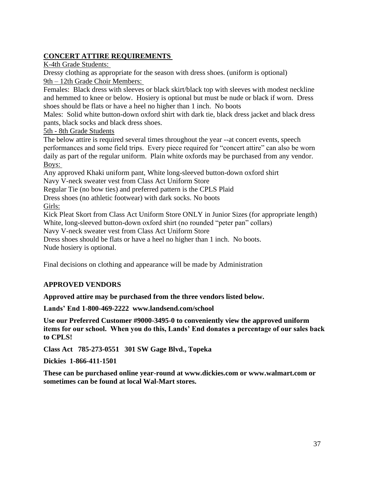# **CONCERT ATTIRE REQUIREMENTS**

K-4th Grade Students:

Dressy clothing as appropriate for the season with dress shoes. (uniform is optional) 9th – 12th Grade Choir Members:

Females: Black dress with sleeves or black skirt/black top with sleeves with modest neckline and hemmed to knee or below. Hosiery is optional but must be nude or black if worn. Dress shoes should be flats or have a heel no higher than 1 inch. No boots

Males: Solid white button-down oxford shirt with dark tie, black dress jacket and black dress pants, black socks and black dress shoes.

5th - 8th Grade Students

The below attire is required several times throughout the year --at concert events, speech performances and some field trips. Every piece required for "concert attire" can also be worn daily as part of the regular uniform. Plain white oxfords may be purchased from any vendor. Boys:

Any approved Khaki uniform pant, White long-sleeved button-down oxford shirt Navy V-neck sweater vest from Class Act Uniform Store

Regular Tie (no bow ties) and preferred pattern is the CPLS Plaid

Dress shoes (no athletic footwear) with dark socks. No boots

Girls:

Kick Pleat Skort from Class Act Uniform Store ONLY in Junior Sizes (for appropriate length) White, long-sleeved button-down oxford shirt (no rounded "peter pan" collars)

Navy V-neck sweater vest from Class Act Uniform Store

Dress shoes should be flats or have a heel no higher than 1 inch. No boots. Nude hosiery is optional.

Final decisions on clothing and appearance will be made by Administration

# **APPROVED VENDORS**

**Approved attire may be purchased from the three vendors listed below.**

**Lands' End 1-800-469-2222 www.landsend.com/school**

**Use our Preferred Customer #9000-3495-0 to conveniently view the approved uniform items for our school. When you do this, Lands' End donates a percentage of our sales back to CPLS!** 

**Class Act 785-273-0551 301 SW Gage Blvd., Topeka**

**Dickies 1-866-411-1501** 

**These can be purchased online year-round at www.dickies.com or www.walmart.com or sometimes can be found at local Wal-Mart stores.**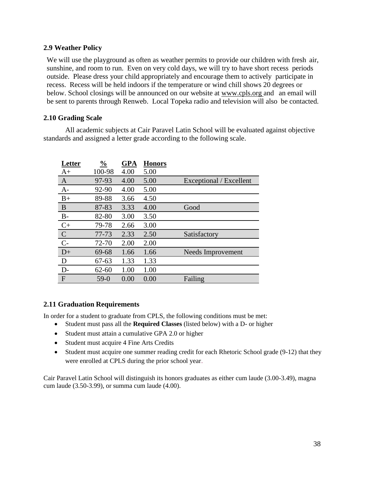#### **2.9 Weather Policy**

We will use the playground as often as weather permits to provide our children with fresh air, sunshine, and room to run. Even on very cold days, we will try to have short recess periods outside. Please dress your child appropriately and encourage them to actively participate in recess. Recess will be held indoors if the temperature or wind chill shows 20 degrees or below. School closings will be announced on our website at [www.cpls.org](http://www.cpls.org/) and an email will be sent to parents through Renweb. Local Topeka radio and television will also be contacted.

#### **2.10 Grading Scale**

All academic subjects at Cair Paravel Latin School will be evaluated against objective standards and assigned a letter grade according to the following scale.

| Letter         | $\frac{0}{0}$ | <b>GPA</b> | <b>Honors</b> |                         |
|----------------|---------------|------------|---------------|-------------------------|
| $A+$           | 100-98        | 4.00       | 5.00          |                         |
| $\mathbf{A}$   | 97-93         | 4.00       | 5.00          | Exceptional / Excellent |
| $A-$           | 92-90         | 4.00       | 5.00          |                         |
| $B+$           | 89-88         | 3.66       | 4.50          |                         |
| B              | 87-83         | 3.33       | 4.00          | Good                    |
| $B-$           | 82-80         | 3.00       | 3.50          |                         |
| $C+$           | 79-78         | 2.66       | 3.00          |                         |
| $\overline{C}$ | $77 - 73$     | 2.33       | 2.50          | Satisfactory            |
| $C-$           | 72-70         | 2.00       | 2.00          |                         |
| $D+$           | 69-68         | 1.66       | 1.66          | Needs Improvement       |
| D              | $67 - 63$     | 1.33       | 1.33          |                         |
| $D-$           | $62 - 60$     | 1.00       | 1.00          |                         |
| $\mathbf{F}$   | $59-0$        | 0.00       | 0.00          | Failing                 |

#### **2.11 Graduation Requirements**

In order for a student to graduate from CPLS, the following conditions must be met:

- Student must pass all the **Required Classes** (listed below) with a D- or higher
- Student must attain a cumulative GPA 2.0 or higher
- Student must acquire 4 Fine Arts Credits
- Student must acquire one summer reading credit for each Rhetoric School grade (9-12) that they were enrolled at CPLS during the prior school year.

Cair Paravel Latin School will distinguish its honors graduates as either cum laude (3.00-3.49), magna cum laude (3.50-3.99), or summa cum laude (4.00).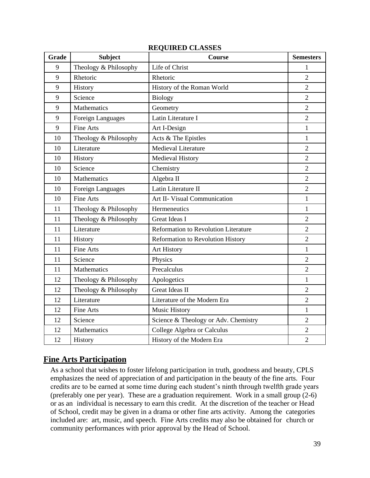| Grade | <b>Subject</b>        | Course                               | <b>Semesters</b> |
|-------|-----------------------|--------------------------------------|------------------|
| 9     | Theology & Philosophy | Life of Christ                       | 1                |
| 9     | Rhetoric              | Rhetoric                             | $\overline{2}$   |
| 9     | History               | History of the Roman World           | $\overline{2}$   |
| 9     | Science               | <b>Biology</b>                       | $\overline{2}$   |
| 9     | Mathematics           | Geometry                             | $\overline{2}$   |
| 9     | Foreign Languages     | Latin Literature I                   | $\overline{2}$   |
| 9     | <b>Fine Arts</b>      | Art I-Design                         | $\mathbf{1}$     |
| 10    | Theology & Philosophy | Acts & The Epistles                  | $\mathbf{1}$     |
| 10    | Literature            | Medieval Literature                  | $\overline{2}$   |
| 10    | History               | <b>Medieval History</b>              | $\overline{2}$   |
| 10    | Science               | Chemistry                            | $\overline{2}$   |
| 10    | Mathematics           | Algebra II                           | $\overline{2}$   |
| 10    | Foreign Languages     | Latin Literature II                  | $\overline{2}$   |
| 10    | <b>Fine Arts</b>      | Art II- Visual Communication         | $\mathbf{1}$     |
| 11    | Theology & Philosophy | Hermeneutics                         | $\mathbf{1}$     |
| 11    | Theology & Philosophy | <b>Great Ideas I</b>                 | $\overline{2}$   |
| 11    | Literature            | Reformation to Revolution Literature | $\overline{2}$   |
| 11    | History               | Reformation to Revolution History    | $\overline{2}$   |
| 11    | <b>Fine Arts</b>      | Art History                          | $\mathbf{1}$     |
| 11    | Science               | Physics                              | $\overline{2}$   |
| 11    | Mathematics           | Precalculus                          | $\overline{2}$   |
| 12    | Theology & Philosophy | Apologetics                          | $\mathbf{1}$     |
| 12    | Theology & Philosophy | <b>Great Ideas II</b>                | $\overline{2}$   |
| 12    | Literature            | Literature of the Modern Era         | $\overline{2}$   |
| 12    | Fine Arts             | <b>Music History</b>                 | $\mathbf{1}$     |
| 12    | Science               | Science & Theology or Adv. Chemistry | $\overline{2}$   |
| 12    | Mathematics           | College Algebra or Calculus          | $\overline{2}$   |
| 12    | History               | History of the Modern Era            | $\overline{2}$   |

#### **REQUIRED CLASSES**

# **Fine Arts Participation**

As a school that wishes to foster lifelong participation in truth, goodness and beauty, CPLS emphasizes the need of appreciation of and participation in the beauty of the fine arts. Four credits are to be earned at some time during each student's ninth through twelfth grade years (preferably one per year). These are a graduation requirement. Work in a small group (2-6) or as an individual is necessary to earn this credit. At the discretion of the teacher or Head of School, credit may be given in a drama or other fine arts activity. Among the categories included are: art, music, and speech. Fine Arts credits may also be obtained for church or community performances with prior approval by the Head of School.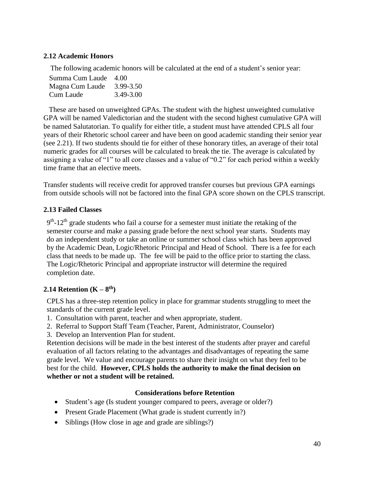### **2.12 Academic Honors**

The following academic honors will be calculated at the end of a student's senior year:

| Summa Cum Laude 4.00 |           |
|----------------------|-----------|
| Magna Cum Laude      | 3.99-3.50 |
| Cum Laude            | 3.49-3.00 |

These are based on unweighted GPAs. The student with the highest unweighted cumulative GPA will be named Valedictorian and the student with the second highest cumulative GPA will be named Salutatorian. To qualify for either title, a student must have attended CPLS all four years of their Rhetoric school career and have been on good academic standing their senior year (see 2.21). If two students should tie for either of these honorary titles, an average of their total numeric grades for all courses will be calculated to break the tie. The average is calculated by assigning a value of "1" to all core classes and a value of "0.2" for each period within a weekly time frame that an elective meets.

Transfer students will receive credit for approved transfer courses but previous GPA earnings from outside schools will not be factored into the final GPA score shown on the CPLS transcript.

#### **2.13 Failed Classes**

 $9<sup>th</sup>$ -12<sup>th</sup> grade students who fail a course for a semester must initiate the retaking of the semester course and make a passing grade before the next school year starts. Students may do an independent study or take an online or summer school class which has been approved by the Academic Dean, Logic/Rhetoric Principal and Head of School. There is a fee for each class that needs to be made up. The fee will be paid to the office prior to starting the class. The Logic/Rhetoric Principal and appropriate instructor will determine the required completion date.

# **2.14 Retention (K – 8 th)**

CPLS has a three-step retention policy in place for grammar students struggling to meet the standards of the current grade level.

- 1. Consultation with parent, teacher and when appropriate, student.
- 2. Referral to Support Staff Team (Teacher, Parent, Administrator, Counselor)
- 3. Develop an Intervention Plan for student.

Retention decisions will be made in the best interest of the students after prayer and careful evaluation of all factors relating to the advantages and disadvantages of repeating the same grade level. We value and encourage parents to share their insight on what they feel to be best for the child. **However, CPLS holds the authority to make the final decision on whether or not a student will be retained.**

#### **Considerations before Retention**

- Student's age (Is student younger compared to peers, average or older?)
- Present Grade Placement (What grade is student currently in?)
- Siblings (How close in age and grade are siblings?)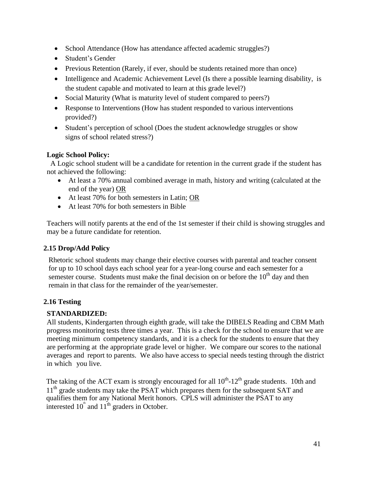- School Attendance (How has attendance affected academic struggles?)
- Student's Gender
- Previous Retention (Rarely, if ever, should be students retained more than once)
- Intelligence and Academic Achievement Level (Is there a possible learning disability, is the student capable and motivated to learn at this grade level?)
- Social Maturity (What is maturity level of student compared to peers?)
- Response to Interventions (How has student responded to various interventions provided?)
- Student's perception of school (Does the student acknowledge struggles or show signs of school related stress?)

### **Logic School Policy:**

 A Logic school student will be a candidate for retention in the current grade if the student has not achieved the following:

- At least a 70% annual combined average in math, history and writing (calculated at the end of the year) OR
- At least 70% for both semesters in Latin; OR
- At least 70% for both semesters in Bible

Teachers will notify parents at the end of the 1st semester if their child is showing struggles and may be a future candidate for retention.

#### **2.15 Drop/Add Policy**

Rhetoric school students may change their elective courses with parental and teacher consent for up to 10 school days each school year for a year-long course and each semester for a semester course. Students must make the final decision on or before the  $10<sup>th</sup>$  day and then remain in that class for the remainder of the year/semester.

# **2.16 Testing**

# **STANDARDIZED:**

All students, Kindergarten through eighth grade, will take the DIBELS Reading and CBM Math progress monitoring tests three times a year. This is a check for the school to ensure that we are meeting minimum competency standards, and it is a check for the students to ensure that they are performing at the appropriate grade level or higher. We compare our scores to the national averages and report to parents. We also have access to special needs testing through the district in which you live.

The taking of the ACT exam is strongly encouraged for all  $10^{th}$ - $12^{th}$  grade students. 10th and  $11<sup>th</sup>$  grade students may take the PSAT which prepares them for the subsequent SAT and qualifies them for any National Merit honors. CPLS will administer the PSAT to any interested  $10^{\text{th}}$  and  $11^{\text{th}}$  graders in October.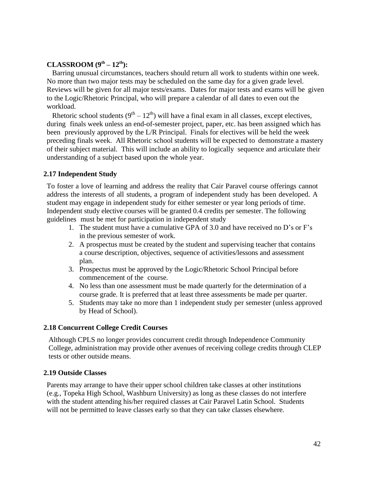#### **CLASSROOM (9th – 12th):**

 Barring unusual circumstances, teachers should return all work to students within one week. No more than two major tests may be scheduled on the same day for a given grade level. Reviews will be given for all major tests/exams. Dates for major tests and exams will be given to the Logic/Rhetoric Principal, who will prepare a calendar of all dates to even out the workload.

Rhetoric school students  $(9^{th} – 12^{th})$  will have a final exam in all classes, except electives, during finals week unless an end-of-semester project, paper, etc. has been assigned which has been previously approved by the L/R Principal. Finals for electives will be held the week preceding finals week. All Rhetoric school students will be expected to demonstrate a mastery of their subject material. This will include an ability to logically sequence and articulate their understanding of a subject based upon the whole year.

#### **2.17 Independent Study**

To foster a love of learning and address the reality that Cair Paravel course offerings cannot address the interests of all students, a program of independent study has been developed. A student may engage in independent study for either semester or year long periods of time. Independent study elective courses will be granted 0.4 credits per semester. The following guidelines must be met for participation in independent study

- 1. The student must have a cumulative GPA of 3.0 and have received no D's or F's in the previous semester of work.
- 2. A prospectus must be created by the student and supervising teacher that contains a course description, objectives, sequence of activities/lessons and assessment plan.
- 3. Prospectus must be approved by the Logic/Rhetoric School Principal before commencement of the course.
- 4. No less than one assessment must be made quarterly for the determination of a course grade. It is preferred that at least three assessments be made per quarter.
- 5. Students may take no more than 1 independent study per semester (unless approved by Head of School).

#### **2.18 Concurrent College Credit Courses**

Although CPLS no longer provides concurrent credit through Independence Community College, administration may provide other avenues of receiving college credits through CLEP tests or other outside means.

#### **2.19 Outside Classes**

Parents may arrange to have their upper school children take classes at other institutions (e.g., Topeka High School, Washburn University) as long as these classes do not interfere with the student attending his/her required classes at Cair Paravel Latin School. Students will not be permitted to leave classes early so that they can take classes elsewhere.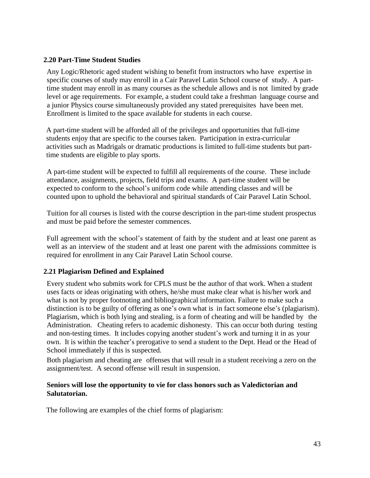#### **2.20 Part-Time Student Studies**

Any Logic/Rhetoric aged student wishing to benefit from instructors who have expertise in specific courses of study may enroll in a Cair Paravel Latin School course of study. A parttime student may enroll in as many courses as the schedule allows and is not limited by grade level or age requirements. For example, a student could take a freshman language course and a junior Physics course simultaneously provided any stated prerequisites have been met. Enrollment is limited to the space available for students in each course.

A part-time student will be afforded all of the privileges and opportunities that full-time students enjoy that are specific to the courses taken. Participation in extra-curricular activities such as Madrigals or dramatic productions is limited to full-time students but parttime students are eligible to play sports.

A part-time student will be expected to fulfill all requirements of the course. These include attendance, assignments, projects, field trips and exams. A part-time student will be expected to conform to the school's uniform code while attending classes and will be counted upon to uphold the behavioral and spiritual standards of Cair Paravel Latin School.

Tuition for all courses is listed with the course description in the part-time student prospectus and must be paid before the semester commences.

Full agreement with the school's statement of faith by the student and at least one parent as well as an interview of the student and at least one parent with the admissions committee is required for enrollment in any Cair Paravel Latin School course.

#### **2.21 Plagiarism Defined and Explained**

Every student who submits work for CPLS must be the author of that work. When a student uses facts or ideas originating with others, he/she must make clear what is his/her work and what is not by proper footnoting and bibliographical information. Failure to make such a distinction is to be guilty of offering as one's own what is in fact someone else's (plagiarism). Plagiarism, which is both lying and stealing, is a form of cheating and will be handled by the Administration. Cheating refers to academic dishonesty. This can occur both during testing and non-testing times. It includes copying another student's work and turning it in as your own. It is within the teacher's prerogative to send a student to the Dept. Head or the Head of School immediately if this is suspected.

Both plagiarism and cheating are offenses that will result in a student receiving a zero on the assignment/test. A second offense will result in suspension.

#### **Seniors will lose the opportunity to vie for class honors such as Valedictorian and Salutatorian.**

The following are examples of the chief forms of plagiarism: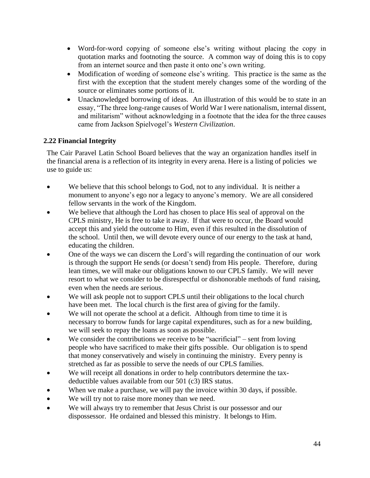- Word-for-word copying of someone else's writing without placing the copy in quotation marks and footnoting the source. A common way of doing this is to copy from an internet source and then paste it onto one's own writing.
- Modification of wording of someone else's writing. This practice is the same as the first with the exception that the student merely changes some of the wording of the source or eliminates some portions of it.
- Unacknowledged borrowing of ideas. An illustration of this would be to state in an essay, "The three long-range causes of World War I were nationalism, internal dissent, and militarism" without acknowledging in a footnote that the idea for the three causes came from Jackson Spielvogel's *Western Civilization*.

# **2.22 Financial Integrity**

The Cair Paravel Latin School Board believes that the way an organization handles itself in the financial arena is a reflection of its integrity in every arena. Here is a listing of policies we use to guide us:

- We believe that this school belongs to God, not to any individual. It is neither a monument to anyone's ego nor a legacy to anyone's memory. We are all considered fellow servants in the work of the Kingdom.
- We believe that although the Lord has chosen to place His seal of approval on the CPLS ministry, He is free to take it away. If that were to occur, the Board would accept this and yield the outcome to Him, even if this resulted in the dissolution of the school. Until then, we will devote every ounce of our energy to the task at hand, educating the children.
- One of the ways we can discern the Lord's will regarding the continuation of our work is through the support He sends (or doesn't send) from His people. Therefore, during lean times, we will make our obligations known to our CPLS family. We will never resort to what we consider to be disrespectful or dishonorable methods of fund raising, even when the needs are serious.
- We will ask people not to support CPLS until their obligations to the local church have been met. The local church is the first area of giving for the family.
- We will not operate the school at a deficit. Although from time to time it is necessary to borrow funds for large capital expenditures, such as for a new building, we will seek to repay the loans as soon as possible.
- We consider the contributions we receive to be "sacrificial" sent from loving people who have sacrificed to make their gifts possible. Our obligation is to spend that money conservatively and wisely in continuing the ministry. Every penny is stretched as far as possible to serve the needs of our CPLS families.
- We will receipt all donations in order to help contributors determine the taxdeductible values available from our 501 (c3) IRS status.
- When we make a purchase, we will pay the invoice within 30 days, if possible.
- We will try not to raise more money than we need.
- We will always try to remember that Jesus Christ is our possessor and our dispossessor. He ordained and blessed this ministry. It belongs to Him.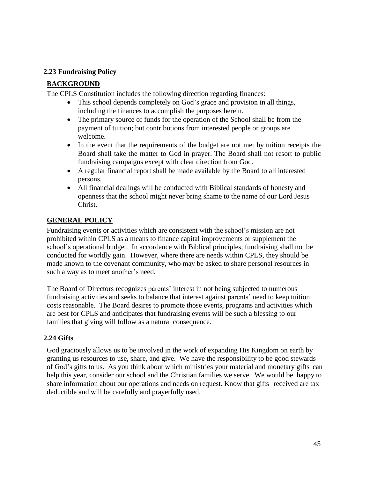#### **2.23 Fundraising Policy**

#### **BACKGROUND**

The CPLS Constitution includes the following direction regarding finances:

- This school depends completely on God's grace and provision in all things, including the finances to accomplish the purposes herein.
- The primary source of funds for the operation of the School shall be from the payment of tuition; but contributions from interested people or groups are welcome.
- In the event that the requirements of the budget are not met by tuition receipts the Board shall take the matter to God in prayer. The Board shall not resort to public fundraising campaigns except with clear direction from God.
- A regular financial report shall be made available by the Board to all interested persons.
- All financial dealings will be conducted with Biblical standards of honesty and openness that the school might never bring shame to the name of our Lord Jesus Christ.

#### **GENERAL POLICY**

Fundraising events or activities which are consistent with the school's mission are not prohibited within CPLS as a means to finance capital improvements or supplement the school's operational budget. In accordance with Biblical principles, fundraising shall not be conducted for worldly gain. However, where there are needs within CPLS, they should be made known to the covenant community, who may be asked to share personal resources in such a way as to meet another's need.

The Board of Directors recognizes parents' interest in not being subjected to numerous fundraising activities and seeks to balance that interest against parents' need to keep tuition costs reasonable. The Board desires to promote those events, programs and activities which are best for CPLS and anticipates that fundraising events will be such a blessing to our families that giving will follow as a natural consequence.

#### **2.24 Gifts**

God graciously allows us to be involved in the work of expanding His Kingdom on earth by granting us resources to use, share, and give. We have the responsibility to be good stewards of God's gifts to us. As you think about which ministries your material and monetary gifts can help this year, consider our school and the Christian families we serve. We would be happy to share information about our operations and needs on request. Know that gifts received are tax deductible and will be carefully and prayerfully used.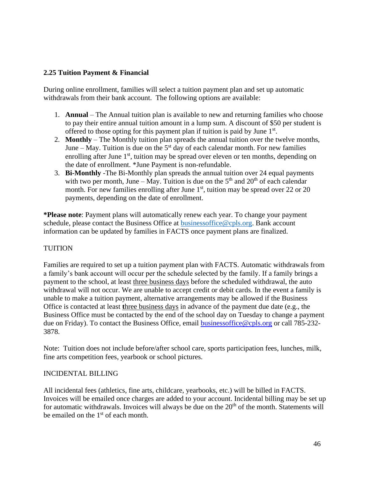#### **2.25 Tuition Payment & Financial**

During online enrollment, families will select a tuition payment plan and set up automatic withdrawals from their bank account. The following options are available:

- 1. **Annual** The Annual tuition plan is available to new and returning families who choose to pay their entire annual tuition amount in a lump sum. A discount of \$50 per student is offered to those opting for this payment plan if tuition is paid by June  $1<sup>st</sup>$ .
- 2. **Monthly** The Monthly tuition plan spreads the annual tuition over the twelve months, June – May. Tuition is due on the  $5<sup>st</sup>$  day of each calendar month. For new families enrolling after June  $1<sup>st</sup>$ , tuition may be spread over eleven or ten months, depending on the date of enrollment. \*June Payment is non-refundable.
- 3. **Bi-Monthly** -The Bi-Monthly plan spreads the annual tuition over 24 equal payments with two per month, June – May. Tuition is due on the  $5<sup>th</sup>$  and  $20<sup>th</sup>$  of each calendar month. For new families enrolling after June  $1<sup>st</sup>$ , tuition may be spread over 22 or 20 payments, depending on the date of enrollment.

**\*Please note**: Payment plans will automatically renew each year. To change your payment schedule, please contact the Business Office at [businessoffice@cpls.org.](mailto:businessoffice@cpls.org) Bank account information can be updated by families in FACTS once payment plans are finalized.

#### TUITION

Families are required to set up a tuition payment plan with FACTS. Automatic withdrawals from a family's bank account will occur per the schedule selected by the family. If a family brings a payment to the school, at least three business days before the scheduled withdrawal, the auto withdrawal will not occur. We are unable to accept credit or debit cards. In the event a family is unable to make a tuition payment, alternative arrangements may be allowed if the Business Office is contacted at least **t**hree business days in advance of the payment due date (e.g., the Business Office must be contacted by the end of the school day on Tuesday to change a payment due on Friday). To contact the Business Office, email [businessoffice@cpls.org](mailto:businessoffice@cpls.org) or call 785-232- 3878.

Note: Tuition does not include before/after school care, sports participation fees, lunches, milk, fine arts competition fees, yearbook or school pictures.

#### INCIDENTAL BILLING

All incidental fees (athletics, fine arts, childcare, yearbooks, etc.) will be billed in FACTS. Invoices will be emailed once charges are added to your account. Incidental billing may be set up for automatic withdrawals. Invoices will always be due on the  $20<sup>th</sup>$  of the month. Statements will be emailed on the  $1<sup>st</sup>$  of each month.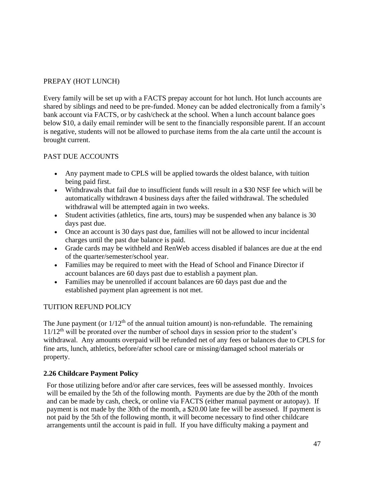# PREPAY (HOT LUNCH)

Every family will be set up with a FACTS prepay account for hot lunch. Hot lunch accounts are shared by siblings and need to be pre-funded. Money can be added electronically from a family's bank account via FACTS, or by cash/check at the school. When a lunch account balance goes below \$10, a daily email reminder will be sent to the financially responsible parent. If an account is negative, students will not be allowed to purchase items from the ala carte until the account is brought current.

# PAST DUE ACCOUNTS

- Any payment made to CPLS will be applied towards the oldest balance, with tuition being paid first.
- Withdrawals that fail due to insufficient funds will result in a \$30 NSF fee which will be automatically withdrawn 4 business days after the failed withdrawal. The scheduled withdrawal will be attempted again in two weeks.
- Student activities (athletics, fine arts, tours) may be suspended when any balance is 30 days past due.
- Once an account is 30 days past due, families will not be allowed to incur incidental charges until the past due balance is paid.
- Grade cards may be withheld and RenWeb access disabled if balances are due at the end of the quarter/semester/school year.
- Families may be required to meet with the Head of School and Finance Director if account balances are 60 days past due to establish a payment plan.
- Families may be unenrolled if account balances are 60 days past due and the established payment plan agreement is not met.

# TUITION REFUND POLICY

The June payment (or  $1/12<sup>th</sup>$  of the annual tuition amount) is non-refundable. The remaining  $11/12<sup>th</sup>$  will be prorated over the number of school days in session prior to the student's withdrawal. Any amounts overpaid will be refunded net of any fees or balances due to CPLS for fine arts, lunch, athletics, before/after school care or missing/damaged school materials or property.

# **2.26 Childcare Payment Policy**

For those utilizing before and/or after care services, fees will be assessed monthly. Invoices will be emailed by the 5th of the following month. Payments are due by the 20th of the month and can be made by cash, check, or online via FACTS (either manual payment or autopay). If payment is not made by the 30th of the month, a \$20.00 late fee will be assessed. If payment is not paid by the 5th of the following month, it will become necessary to find other childcare arrangements until the account is paid in full. If you have difficulty making a payment and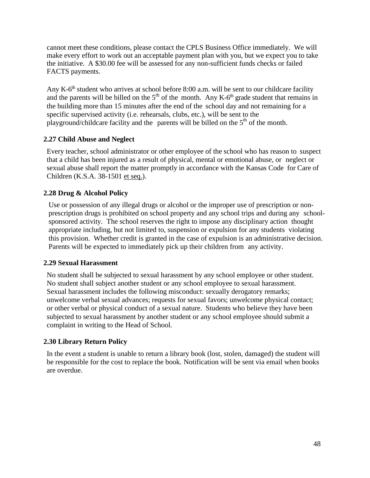cannot meet these conditions, please contact the CPLS Business Office immediately. We will make every effort to work out an acceptable payment plan with you, but we expect you to take the initiative. A \$30.00 fee will be assessed for any non-sufficient funds checks or failed FACTS payments.

Any K-6<sup>th</sup> student who arrives at school before 8:00 a.m. will be sent to our childcare facility and the parents will be billed on the  $5<sup>th</sup>$  of the month. Any K-6<sup>th</sup> grade student that remains in the building more than 15 minutes after the end of the school day and not remaining for a specific supervised activity (i.e. rehearsals, clubs, etc.), will be sent to the playground/childcare facility and the parents will be billed on the  $5<sup>th</sup>$  of the month.

#### **2.27 Child Abuse and Neglect**

Every teacher, school administrator or other employee of the school who has reason to suspect that a child has been injured as a result of physical, mental or emotional abuse, or neglect or sexual abuse shall report the matter promptly in accordance with the Kansas Code for Care of Children (K.S.A. 38-1501 et seq.).

### **2.28 Drug & Alcohol Policy**

Use or possession of any illegal drugs or alcohol or the improper use of prescription or nonprescription drugs is prohibited on school property and any school trips and during any schoolsponsored activity. The school reserves the right to impose any disciplinary action thought appropriate including, but not limited to, suspension or expulsion for any students violating this provision. Whether credit is granted in the case of expulsion is an administrative decision. Parents will be expected to immediately pick up their children from any activity.

#### **2.29 Sexual Harassment**

No student shall be subjected to sexual harassment by any school employee or other student. No student shall subject another student or any school employee to sexual harassment. Sexual harassment includes the following misconduct: sexually derogatory remarks; unwelcome verbal sexual advances; requests for sexual favors; unwelcome physical contact; or other verbal or physical conduct of a sexual nature. Students who believe they have been subjected to sexual harassment by another student or any school employee should submit a complaint in writing to the Head of School.

#### **2.30 Library Return Policy**

In the event a student is unable to return a library book (lost, stolen, damaged) the student will be responsible for the cost to replace the book. Notification will be sent via email when books are overdue.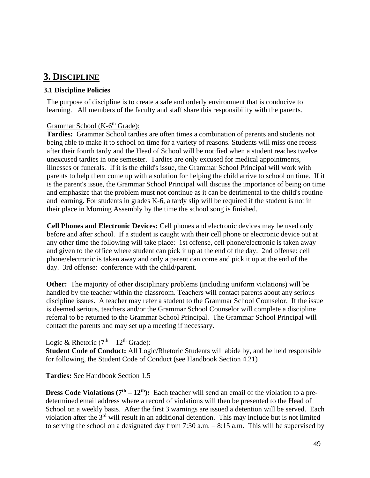# **3. DISCIPLINE**

### **3.1 Discipline Policies**

The purpose of discipline is to create a safe and orderly environment that is conducive to learning. All members of the faculty and staff share this responsibility with the parents.

### Grammar School (K-6<sup>th</sup> Grade):

**Tardies:** Grammar School tardies are often times a combination of parents and students not being able to make it to school on time for a variety of reasons. Students will miss one recess after their fourth tardy and the Head of School will be notified when a student reaches twelve unexcused tardies in one semester. Tardies are only excused for medical appointments, illnesses or funerals. If it is the child's issue, the Grammar School Principal will work with parents to help them come up with a solution for helping the child arrive to school on time. If it is the parent's issue, the Grammar School Principal will discuss the importance of being on time and emphasize that the problem must not continue as it can be detrimental to the child's routine and learning. For students in grades K-6, a tardy slip will be required if the student is not in their place in Morning Assembly by the time the school song is finished.

**Cell Phones and Electronic Devices:** Cell phones and electronic devices may be used only before and after school. If a student is caught with their cell phone or electronic device out at any other time the following will take place: 1st offense, cell phone/electronic is taken away and given to the office where student can pick it up at the end of the day. 2nd offense: cell phone/electronic is taken away and only a parent can come and pick it up at the end of the day. 3rd offense: conference with the child/parent.

**Other:** The majority of other disciplinary problems (including uniform violations) will be handled by the teacher within the classroom. Teachers will contact parents about any serious discipline issues. A teacher may refer a student to the Grammar School Counselor. If the issue is deemed serious, teachers and/or the Grammar School Counselor will complete a discipline referral to be returned to the Grammar School Principal. The Grammar School Principal will contact the parents and may set up a meeting if necessary.

#### Logic & Rhetoric  $(7<sup>th</sup> - 12<sup>th</sup>$  Grade):

**Student Code of Conduct:** All Logic/Rhetoric Students will abide by, and be held responsible for following, the Student Code of Conduct (see Handbook Section 4.21)

**Tardies:** See Handbook Section 1.5

**Dress Code Violations**  $(7<sup>th</sup> - 12<sup>th</sup>)$ **:** Each teacher will send an email of the violation to a predetermined email address where a record of violations will then be presented to the Head of School on a weekly basis. After the first 3 warnings are issued a detention will be served. Each violation after the 3rd will result in an additional detention. This may include but is not limited to serving the school on a designated day from 7:30 a.m. – 8:15 a.m. This will be supervised by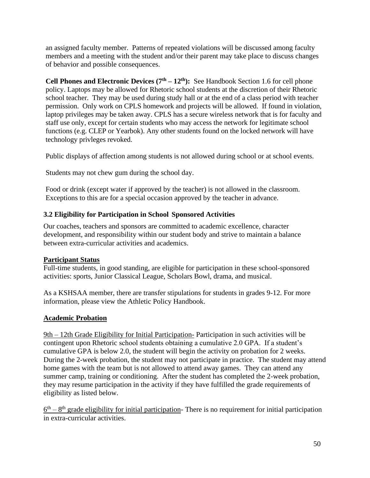an assigned faculty member. Patterns of repeated violations will be discussed among faculty members and a meeting with the student and/or their parent may take place to discuss changes of behavior and possible consequences.

**Cell Phones and Electronic Devices**  $(7<sup>th</sup> - 12<sup>th</sup>)$ **:** See Handbook Section 1.6 for cell phone policy. Laptops may be allowed for Rhetoric school students at the discretion of their Rhetoric school teacher. They may be used during study hall or at the end of a class period with teacher permission. Only work on CPLS homework and projects will be allowed. If found in violation, laptop privileges may be taken away. CPLS has a secure wireless network that is for faculty and staff use only, except for certain students who may access the network for legitimate school functions (e.g. CLEP or Yearbok). Any other students found on the locked network will have technology privleges revoked.

Public displays of affection among students is not allowed during school or at school events.

Students may not chew gum during the school day.

Food or drink (except water if approved by the teacher) is not allowed in the classroom. Exceptions to this are for a special occasion approved by the teacher in advance.

# **3.2 Eligibility for Participation in School Sponsored Activities**

Our coaches, teachers and sponsors are committed to academic excellence, character development, and responsibility within our student body and strive to maintain a balance between extra-curricular activities and academics.

# **Participant Status**

Full-time students, in good standing, are eligible for participation in these school-sponsored activities: sports, Junior Classical League, Scholars Bowl, drama, and musical.

As a KSHSAA member, there are transfer stipulations for students in grades 9-12. For more information, please view the Athletic Policy Handbook.

# **Academic Probation**

9th – 12th Grade Eligibility for Initial Participation- Participation in such activities will be contingent upon Rhetoric school students obtaining a cumulative 2.0 GPA. If a student's cumulative GPA is below 2.0, the student will begin the activity on probation for 2 weeks. During the 2-week probation, the student may not participate in practice. The student may attend home games with the team but is not allowed to attend away games. They can attend any summer camp, training or conditioning. After the student has completed the 2-week probation, they may resume participation in the activity if they have fulfilled the grade requirements of eligibility as listed below.

 $6<sup>th</sup> - 8<sup>th</sup>$  grade eligibility for initial participation- There is no requirement for initial participation in extra-curricular activities.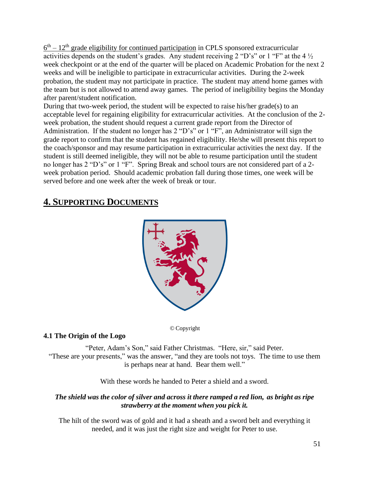$6<sup>th</sup> - 12<sup>th</sup>$  grade eligibility for continued participation in CPLS sponsored extracurricular activities depends on the student's grades. Any student receiving 2 "D's" or 1 "F" at the 4  $\frac{1}{2}$ week checkpoint or at the end of the quarter will be placed on Academic Probation for the next 2 weeks and will be ineligible to participate in extracurricular activities. During the 2-week probation, the student may not participate in practice. The student may attend home games with the team but is not allowed to attend away games. The period of ineligibility begins the Monday after parent/student notification.

During that two-week period, the student will be expected to raise his/her grade(s) to an acceptable level for regaining eligibility for extracurricular activities. At the conclusion of the 2 week probation, the student should request a current grade report from the Director of Administration. If the student no longer has 2 "D's" or 1 "F", an Administrator will sign the grade report to confirm that the student has regained eligibility. He/she will present this report to the coach/sponsor and may resume participation in extracurricular activities the next day. If the student is still deemed ineligible, they will not be able to resume participation until the student no longer has 2 "D's" or 1 "F". Spring Break and school tours are not considered part of a 2 week probation period. Should academic probation fall during those times, one week will be served before and one week after the week of break or tour.

# **4. SUPPORTING DOCUMENTS**



# © Copyright

#### **4.1 The Origin of the Logo**

"Peter, Adam's Son," said Father Christmas. "Here, sir," said Peter. "These are your presents," was the answer, "and they are tools not toys. The time to use them is perhaps near at hand. Bear them well."

With these words he handed to Peter a shield and a sword.

#### *The shield was the color of silver and across it there ramped a red lion, as bright as ripe strawberry at the moment when you pick it.*

The hilt of the sword was of gold and it had a sheath and a sword belt and everything it needed, and it was just the right size and weight for Peter to use.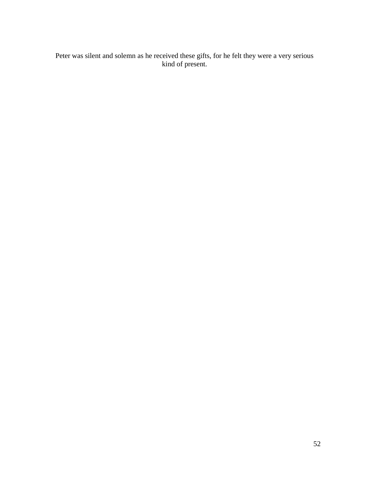Peter was silent and solemn as he received these gifts, for he felt they were a very serious kind of present.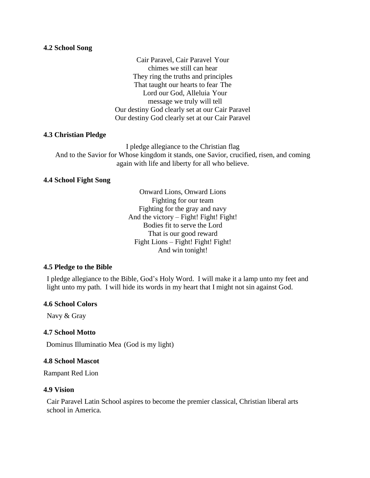#### **4.2 School Song**

Cair Paravel, Cair Paravel Your chimes we still can hear They ring the truths and principles That taught our hearts to fear The Lord our God, Alleluia Your message we truly will tell Our destiny God clearly set at our Cair Paravel Our destiny God clearly set at our Cair Paravel

#### **4.3 Christian Pledge**

I pledge allegiance to the Christian flag And to the Savior for Whose kingdom it stands, one Savior, crucified, risen, and coming again with life and liberty for all who believe.

#### **4.4 School Fight Song**

Onward Lions, Onward Lions Fighting for our team Fighting for the gray and navy And the victory – Fight! Fight! Fight! Bodies fit to serve the Lord That is our good reward Fight Lions – Fight! Fight! Fight! And win tonight!

#### **4.5 Pledge to the Bible**

I pledge allegiance to the Bible, God's Holy Word. I will make it a lamp unto my feet and light unto my path. I will hide its words in my heart that I might not sin against God.

#### **4.6 School Colors**

Navy & Gray

#### **4.7 School Motto**

Dominus Illuminatio Mea (God is my light)

#### **4.8 School Mascot**

Rampant Red Lion

#### **4.9 Vision**

Cair Paravel Latin School aspires to become the premier classical, Christian liberal arts school in America.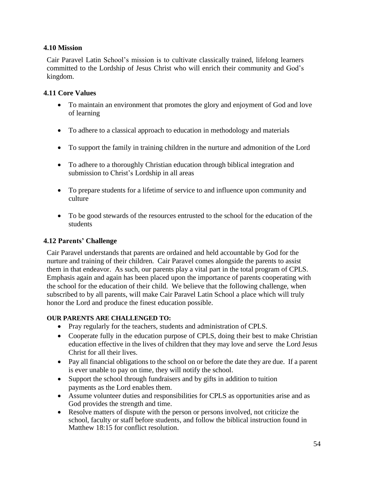### **4.10 Mission**

Cair Paravel Latin School's mission is to cultivate classically trained, lifelong learners committed to the Lordship of Jesus Christ who will enrich their community and God's kingdom.

### **4.11 Core Values**

- To maintain an environment that promotes the glory and enjoyment of God and love of learning
- To adhere to a classical approach to education in methodology and materials
- To support the family in training children in the nurture and admonition of the Lord
- To adhere to a thoroughly Christian education through biblical integration and submission to Christ's Lordship in all areas
- To prepare students for a lifetime of service to and influence upon community and culture
- To be good stewards of the resources entrusted to the school for the education of the students

## **4.12 Parents' Challenge**

Cair Paravel understands that parents are ordained and held accountable by God for the nurture and training of their children. Cair Paravel comes alongside the parents to assist them in that endeavor. As such, our parents play a vital part in the total program of CPLS. Emphasis again and again has been placed upon the importance of parents cooperating with the school for the education of their child. We believe that the following challenge, when subscribed to by all parents, will make Cair Paravel Latin School a place which will truly honor the Lord and produce the finest education possible.

#### **OUR PARENTS ARE CHALLENGED TO:**

- Pray regularly for the teachers, students and administration of CPLS.
- Cooperate fully in the education purpose of CPLS, doing their best to make Christian education effective in the lives of children that they may love and serve the Lord Jesus Christ for all their lives.
- Pay all financial obligations to the school on or before the date they are due. If a parent is ever unable to pay on time, they will notify the school.
- Support the school through fundraisers and by gifts in addition to tuition payments as the Lord enables them.
- Assume volunteer duties and responsibilities for CPLS as opportunities arise and as God provides the strength and time.
- Resolve matters of dispute with the person or persons involved, not criticize the school, faculty or staff before students, and follow the biblical instruction found in Matthew 18:15 for conflict resolution.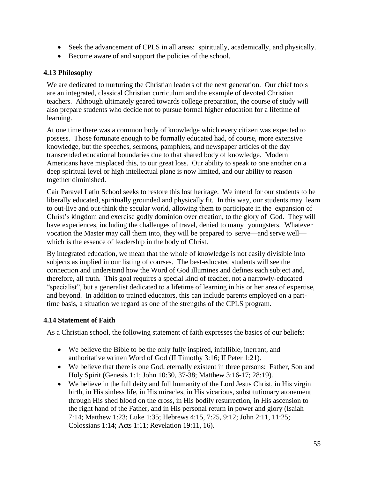- Seek the advancement of CPLS in all areas: spiritually, academically, and physically.
- Become aware of and support the policies of the school.

#### **4.13 Philosophy**

We are dedicated to nurturing the Christian leaders of the next generation. Our chief tools are an integrated, classical Christian curriculum and the example of devoted Christian teachers. Although ultimately geared towards college preparation, the course of study will also prepare students who decide not to pursue formal higher education for a lifetime of learning.

At one time there was a common body of knowledge which every citizen was expected to possess. Those fortunate enough to be formally educated had, of course, more extensive knowledge, but the speeches, sermons, pamphlets, and newspaper articles of the day transcended educational boundaries due to that shared body of knowledge. Modern Americans have misplaced this, to our great loss. Our ability to speak to one another on a deep spiritual level or high intellectual plane is now limited, and our ability to reason together diminished.

Cair Paravel Latin School seeks to restore this lost heritage. We intend for our students to be liberally educated, spiritually grounded and physically fit. In this way, our students may learn to out-live and out-think the secular world, allowing them to participate in the expansion of Christ's kingdom and exercise godly dominion over creation, to the glory of God. They will have experiences, including the challenges of travel, denied to many youngsters. Whatever vocation the Master may call them into, they will be prepared to serve—and serve well which is the essence of leadership in the body of Christ.

By integrated education, we mean that the whole of knowledge is not easily divisible into subjects as implied in our listing of courses. The best-educated students will see the connection and understand how the Word of God illumines and defines each subject and, therefore, all truth. This goal requires a special kind of teacher, not a narrowly-educated "specialist", but a generalist dedicated to a lifetime of learning in his or her area of expertise, and beyond. In addition to trained educators, this can include parents employed on a parttime basis, a situation we regard as one of the strengths of the CPLS program.

#### **4.14 Statement of Faith**

As a Christian school, the following statement of faith expresses the basics of our beliefs:

- We believe the Bible to be the only fully inspired, infallible, inerrant, and authoritative written Word of God (II Timothy 3:16; II Peter 1:21).
- We believe that there is one God, eternally existent in three persons: Father, Son and Holy Spirit (Genesis 1:1; John 10:30, 37-38; Matthew 3:16-17; 28:19).
- We believe in the full deity and full humanity of the Lord Jesus Christ, in His virgin birth, in His sinless life, in His miracles, in His vicarious, substitutionary atonement through His shed blood on the cross, in His bodily resurrection, in His ascension to the right hand of the Father, and in His personal return in power and glory (Isaiah 7:14; Matthew 1:23; Luke 1:35; Hebrews 4:15, 7:25, 9:12; John 2:11, 11:25; Colossians 1:14; Acts 1:11; Revelation 19:11, 16).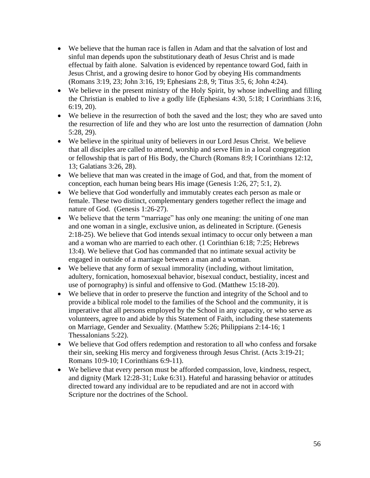- We believe that the human race is fallen in Adam and that the salvation of lost and sinful man depends upon the substitutionary death of Jesus Christ and is made effectual by faith alone. Salvation is evidenced by repentance toward God, faith in Jesus Christ, and a growing desire to honor God by obeying His commandments (Romans 3:19, 23; John 3:16, 19; Ephesians 2:8, 9; Titus 3:5, 6; John 4:24).
- We believe in the present ministry of the Holy Spirit, by whose indwelling and filling the Christian is enabled to live a godly life (Ephesians 4:30, 5:18; I Corinthians 3:16, 6:19, 20).
- We believe in the resurrection of both the saved and the lost; they who are saved unto the resurrection of life and they who are lost unto the resurrection of damnation (John 5:28, 29).
- We believe in the spiritual unity of believers in our Lord Jesus Christ. We believe that all disciples are called to attend, worship and serve Him in a local congregation or fellowship that is part of His Body, the Church (Romans 8:9; I Corinthians 12:12, 13; Galatians 3:26, 28).
- We believe that man was created in the image of God, and that, from the moment of conception, each human being bears His image (Genesis 1:26, 27; 5:1, 2).
- We believe that God wonderfully and immutably creates each person as male or female. These two distinct, complementary genders together reflect the image and nature of God. (Genesis 1:26-27).
- We believe that the term "marriage" has only one meaning: the uniting of one man and one woman in a single, exclusive union, as delineated in Scripture. (Genesis 2:18-25). We believe that God intends sexual intimacy to occur only between a man and a woman who are married to each other. (1 Corinthian 6:18; 7:25; Hebrews 13:4). We believe that God has commanded that no intimate sexual activity be engaged in outside of a marriage between a man and a woman.
- We believe that any form of sexual immorality (including, without limitation, adultery, fornication, homosexual behavior, bisexual conduct, bestiality, incest and use of pornography) is sinful and offensive to God. (Matthew 15:18-20).
- We believe that in order to preserve the function and integrity of the School and to provide a biblical role model to the families of the School and the community, it is imperative that all persons employed by the School in any capacity, or who serve as volunteers, agree to and abide by this Statement of Faith, including these statements on Marriage, Gender and Sexuality. (Matthew 5:26; Philippians 2:14-16; 1 Thessalonians 5:22).
- We believe that God offers redemption and restoration to all who confess and forsake their sin, seeking His mercy and forgiveness through Jesus Christ. (Acts 3:19-21; Romans 10:9-10; I Corinthians 6:9-11).
- We believe that every person must be afforded compassion, love, kindness, respect, and dignity (Mark 12:28-31; Luke 6:31). Hateful and harassing behavior or attitudes directed toward any individual are to be repudiated and are not in accord with Scripture nor the doctrines of the School.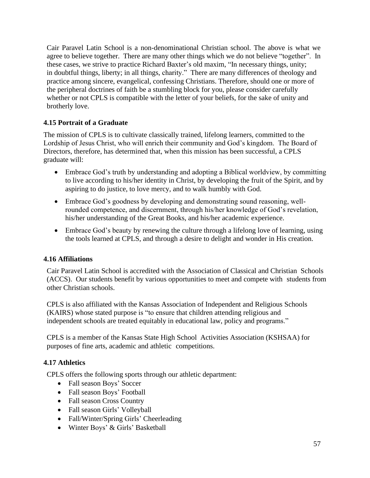Cair Paravel Latin School is a non-denominational Christian school. The above is what we agree to believe together. There are many other things which we do not believe "together". In these cases, we strive to practice Richard Baxter's old maxim, "In necessary things, unity; in doubtful things, liberty; in all things, charity." There are many differences of theology and practice among sincere, evangelical, confessing Christians. Therefore, should one or more of the peripheral doctrines of faith be a stumbling block for you, please consider carefully whether or not CPLS is compatible with the letter of your beliefs, for the sake of unity and brotherly love.

# **4.15 Portrait of a Graduate**

The mission of CPLS is to cultivate classically trained, lifelong learners, committed to the Lordship of Jesus Christ, who will enrich their community and God's kingdom. The Board of Directors, therefore, has determined that, when this mission has been successful, a CPLS graduate will:

- Embrace God's truth by understanding and adopting a Biblical worldview, by committing to live according to his/her identity in Christ, by developing the fruit of the Spirit, and by aspiring to do justice, to love mercy, and to walk humbly with God.
- Embrace God's goodness by developing and demonstrating sound reasoning, wellrounded competence, and discernment, through his/her knowledge of God's revelation, his/her understanding of the Great Books, and his/her academic experience.
- Embrace God's beauty by renewing the culture through a lifelong love of learning, using the tools learned at CPLS, and through a desire to delight and wonder in His creation.

#### **4.16 Affiliations**

Cair Paravel Latin School is accredited with the Association of Classical and Christian Schools (ACCS). Our students benefit by various opportunities to meet and compete with students from other Christian schools.

CPLS is also affiliated with the Kansas Association of Independent and Religious Schools (KAIRS) whose stated purpose is "to ensure that children attending religious and independent schools are treated equitably in educational law, policy and programs."

CPLS is a member of the Kansas State High School Activities Association (KSHSAA) for purposes of fine arts, academic and athletic competitions.

#### **4.17 Athletics**

CPLS offers the following sports through our athletic department:

- Fall season Boys' Soccer
- Fall season Boys' Football
- Fall season Cross Country
- Fall season Girls' Volleyball
- Fall/Winter/Spring Girls' Cheerleading
- Winter Boys' & Girls' Basketball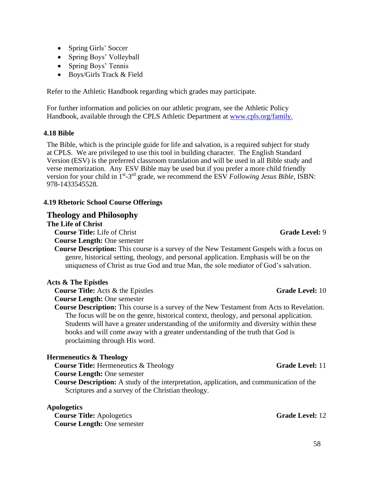- Spring Girls' Soccer
- Spring Boys' Volleyball
- Spring Boys' Tennis
- Boys/Girls Track & Field

Refer to the Athletic Handbook regarding which grades may participate.

For further information and policies on our athletic program, see the Athletic Policy Handbook, available through the CPLS Athletic Department at [www.cpls.org/family.](http://www.cpls.org/family.)

#### **4.18 Bible**

The Bible, which is the principle guide for life and salvation, is a required subject for study at CPLS. We are privileged to use this tool in building character. The English Standard Version (ESV) is the preferred classroom translation and will be used in all Bible study and verse memorization. Any ESV Bible may be used but if you prefer a more child friendly version for your child in 1<sup>st</sup>-3<sup>rd</sup> grade, we recommend the ESV *Following Jesus Bible*, ISBN: 978-1433545528.

#### **4.19 Rhetoric School Course Offerings**

#### **Theology and Philosophy**

#### **The Life of Christ**

**Course Title:** Life of Christ **Grade Level:** 9

**Course Length:** One semester

**Course Description:** This course is a survey of the New Testament Gospels with a focus on genre, historical setting, theology, and personal application. Emphasis will be on the uniqueness of Christ as true God and true Man, the sole mediator of God's salvation.

#### **Acts & The Epistles**

**Course Title:** Acts & the Epistles **Course In the Level:** 10

- **Course Length:** One semester
- **Course Description:** This course is a survey of the New Testament from Acts to Revelation. The focus will be on the genre, historical context, theology, and personal application. Students will have a greater understanding of the uniformity and diversity within these books and will come away with a greater understanding of the truth that God is proclaiming through His word.

#### **Hermeneutics & Theology**

**Course Title:** Hermeneutics & Theology **Grade Level:** 11

**Course Length:** One semester

**Course Description:** A study of the interpretation, application, and communication of the Scriptures and a survey of the Christian theology.

#### **Apologetics**

**Course Title:** Apologetics **Grade Level:** 12 **Course Length:** One semester

58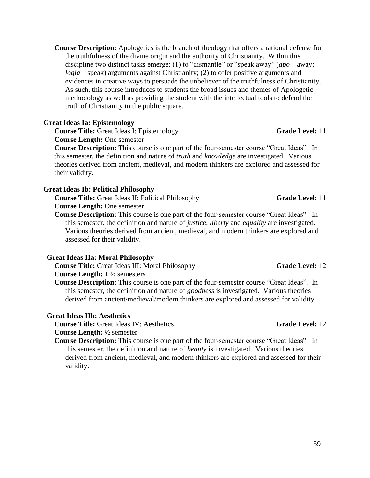**Course Description:** Apologetics is the branch of theology that offers a rational defense for the truthfulness of the divine origin and the authority of Christianity. Within this discipline two distinct tasks emerge: (1) to "dismantle" or "speak away" (*apo*—away; *logia*—speak) arguments against Christianity; (2) to offer positive arguments and evidences in creative ways to persuade the unbeliever of the truthfulness of Christianity. As such, this course introduces to students the broad issues and themes of Apologetic methodology as well as providing the student with the intellectual tools to defend the truth of Christianity in the public square.

#### **Great Ideas Ia: Epistemology**

**Course Title:** Great Ideas I: Epistemology **Grade Level:** 11 **Course Length:** One semester

**Course Description:** This course is one part of the four-semester course "Great Ideas". In this semester, the definition and nature of *truth* and *knowledge* are investigated. Various theories derived from ancient, medieval, and modern thinkers are explored and assessed for their validity.

#### **Great Ideas Ib: Political Philosophy**

**Course Title:** Great Ideas II: Political Philosophy **Grade Level:** 11 **Course Length:** One semester

**Course Description:** This course is one part of the four-semester course "Great Ideas". In this semester, the definition and nature of *justice, liberty* and *equality* are investigated. Various theories derived from ancient, medieval, and modern thinkers are explored and assessed for their validity.

#### **Great Ideas IIa: Moral Philosophy**

**Course Title:** Great Ideas III: Moral Philosophy **Grade Level:** 12

**Course Length:** 1 ½ semesters

**Course Description:** This course is one part of the four-semester course "Great Ideas". In this semester, the definition and nature of *goodness* is investigated. Various theories derived from ancient/medieval/modern thinkers are explored and assessed for validity.

#### **Great Ideas IIb: Aesthetics**

**Course Title:** Great Ideas IV: Aesthetics **Grade Level:** 12

# **Course Length:** ½ semester

**Course Description:** This course is one part of the four-semester course "Great Ideas". In this semester, the definition and nature of *beauty* is investigated. Various theories derived from ancient, medieval, and modern thinkers are explored and assessed for their validity.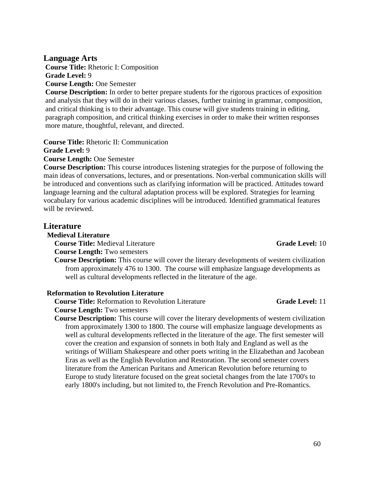60

#### **Language Arts**

**Course Title:** Rhetoric I: Composition **Grade Level:** 9 **Course Length:** One Semester

**Course Description:** In order to better prepare students for the rigorous practices of exposition and analysis that they will do in their various classes, further training in grammar, composition, and critical thinking is to their advantage. This course will give students training in editing, paragraph composition, and critical thinking exercises in order to make their written responses more mature, thoughtful, relevant, and directed.

**Course Title:** Rhetoric II: Communication

**Grade Level:** 9

**Course Length:** One Semester

**Course Description:** This course introduces listening strategies for the purpose of following the main ideas of conversations, lectures, and or presentations. Non-verbal communication skills will be introduced and conventions such as clarifying information will be practiced. Attitudes toward language learning and the cultural adaptation process will be explored. Strategies for learning vocabulary for various academic disciplines will be introduced. Identified grammatical features will be reviewed.

#### **Literature**

#### **Medieval Literature**

**Course Title:** Medieval Literature **Grade Level:** 10

**Course Length:** Two semesters

**Course Description:** This course will cover the literary developments of western civilization from approximately 476 to 1300. The course will emphasize language developments as well as cultural developments reflected in the literature of the age.

#### **Reformation to Revolution Literature**

**Course Title:** Reformation to Revolution Literature **Grade Level:** 11

**Course Length:** Two semesters

**Course Description:** This course will cover the literary developments of western civilization from approximately 1300 to 1800. The course will emphasize language developments as well as cultural developments reflected in the literature of the age. The first semester will cover the creation and expansion of sonnets in both Italy and England as well as the writings of William Shakespeare and other poets writing in the Elizabethan and Jacobean Eras as well as the English Revolution and Restoration. The second semester covers literature from the American Puritans and American Revolution before returning to Europe to study literature focused on the great societal changes from the late 1700's to early 1800's including, but not limited to, the French Revolution and Pre-Romantics.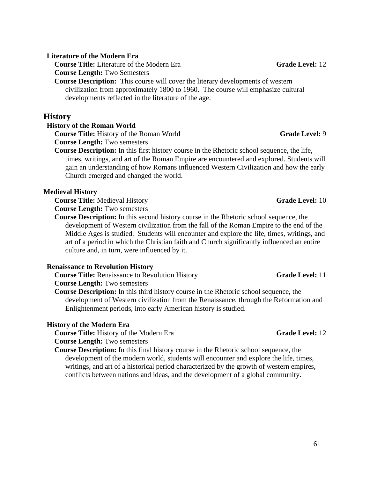#### **Literature of the Modern Era**

**Course Title:** Literature of the Modern Era **Grade Level:** 12 **Course Length:** Two Semesters

**Course Description:** This course will cover the literary developments of western civilization from approximately 1800 to 1960. The course will emphasize cultural developments reflected in the literature of the age.

#### **History**

#### **History of the Roman World**

**Course Title:** History of the Roman World **Grade Level:** 9 **Course Length:** Two semesters

**Course Description:** In this first history course in the Rhetoric school sequence, the life, times, writings, and art of the Roman Empire are encountered and explored. Students will gain an understanding of how Romans influenced Western Civilization and how the early Church emerged and changed the world.

#### **Medieval History**

**Course Title:** Medieval History **Grade Level:** 10

**Course Length:** Two semesters

**Course Description:** In this second history course in the Rhetoric school sequence, the development of Western civilization from the fall of the Roman Empire to the end of the Middle Ages is studied. Students will encounter and explore the life, times, writings, and art of a period in which the Christian faith and Church significantly influenced an entire culture and, in turn, were influenced by it.

#### **Renaissance to Revolution History**

**Course Title:** Renaissance to Revolution History **Grade Level:** 11 **Course Length:** Two semesters

**Course Description:** In this third history course in the Rhetoric school sequence, the development of Western civilization from the Renaissance, through the Reformation and Enlightenment periods, into early American history is studied.

#### **History of the Modern Era**

**Course Title:** History of the Modern Era **Grade Level:** 12

**Course Length:** Two semesters

**Course Description:** In this final history course in the Rhetoric school sequence, the development of the modern world, students will encounter and explore the life, times, writings, and art of a historical period characterized by the growth of western empires, conflicts between nations and ideas, and the development of a global community.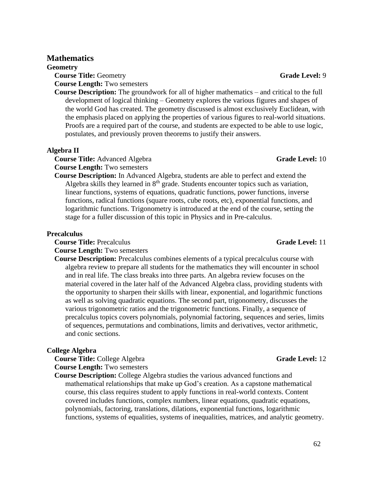#### **Mathematics**

**Geometry**

**Course Title:** Geometry **Grade Level:** 9 **Course Length:** Two semesters

**Course Description:** The groundwork for all of higher mathematics – and critical to the full development of logical thinking – Geometry explores the various figures and shapes of the world God has created. The geometry discussed is almost exclusively Euclidean, with the emphasis placed on applying the properties of various figures to real-world situations. Proofs are a required part of the course, and students are expected to be able to use logic, postulates, and previously proven theorems to justify their answers.

#### **Algebra II**

**Course Title:** Advanced Algebra **Grade Level:** 10 **Course Length:** Two semesters

**Course Description:** In Advanced Algebra, students are able to perfect and extend the Algebra skills they learned in  $8<sup>th</sup>$  grade. Students encounter topics such as variation, linear functions, systems of equations, quadratic functions, power functions, inverse functions, radical functions (square roots, cube roots, etc), exponential functions, and logarithmic functions. Trigonometry is introduced at the end of the course, setting the stage for a fuller discussion of this topic in Physics and in Pre-calculus.

#### **Precalculus**

**Course Title:** Precalculus **Grade Level:** 11

**Course Length:** Two semesters

**Course Description:** Precalculus combines elements of a typical precalculus course with algebra review to prepare all students for the mathematics they will encounter in school and in real life. The class breaks into three parts. An algebra review focuses on the material covered in the later half of the Advanced Algebra class, providing students with the opportunity to sharpen their skills with linear, exponential, and logarithmic functions as well as solving quadratic equations. The second part, trigonometry, discusses the various trigonometric ratios and the trigonometric functions. Finally, a sequence of precalculus topics covers polynomials, polynomial factoring, sequences and series, limits of sequences, permutations and combinations, limits and derivatives, vector arithmetic, and conic sections.

#### **College Algebra**

**Course Title:** College Algebra **Grade Level:** 12 **Course Length:** Two semesters

**Course Description:** College Algebra studies the various advanced functions and mathematical relationships that make up God's creation. As a capstone mathematical course, this class requires student to apply functions in real-world contexts. Content covered includes functions, complex numbers, linear equations, quadratic equations, polynomials, factoring, translations, dilations, exponential functions, logarithmic functions, systems of equalities, systems of inequalities, matrices, and analytic geometry.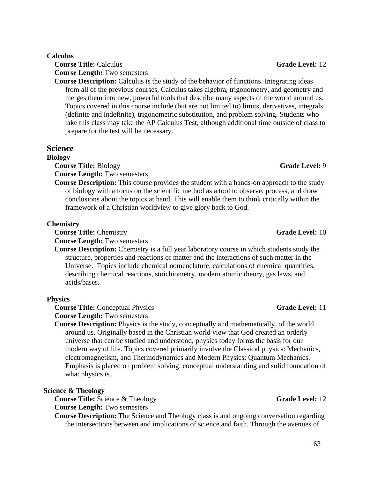#### **Calculus**

**Course Title:** Calculus **Grade Level:** 12 **Course Length:** Two semesters

**Course Description:** Calculus is the study of the behavior of functions. Integrating ideas from all of the previous courses, Calculus takes algebra, trigonometry, and geometry and merges them into new, powerful tools that describe many aspects of the world around us. Topics covered in this course include (but are not limited to) limits, derivatives, integrals (definite and indefinite), trigonometric substitution, and problem solving. Students who take this class may take the AP Calculus Test, although additional time outside of class to prepare for the test will be necessary.

#### **Science**

#### **Biology**

**Course Title:** Biology **Grade Level:** 9 **Course Length:** Two semesters

**Course Description:** This course provides the student with a hands-on approach to the study of biology with a focus on the scientific method as a tool to observe, process, and draw conclusions about the topics at hand. This will enable them to think critically within the framework of a Christian worldview to give glory back to God.

#### **Chemistry**

**Course Title:** Chemistry **Grade Level:** 10

**Course Length:** Two semesters

**Course Description:** Chemistry is a full year laboratory course in which students study the structure, properties and reactions of matter and the interactions of such matter in the Universe. Topics include chemical nomenclature, calculations of chemical quantities, describing chemical reactions, stoichiometry, modern atomic theory, gas laws, and acids/bases.

#### **Physics**

**Course Title:** Conceptual Physics **Grade Level:** 11

**Course Length:** Two semesters

**Course Description:** Physics is the study, conceptually and mathematically, of the world around us. Originally based in the Christian world view that God created an orderly universe that can be studied and understood, physics today forms the basis for our modern way of life. Topics covered primarily involve the Classical physics: Mechanics, electromagnetism, and Thermodynamics and Modern Physics: Quantum Mechanics. Emphasis is placed on problem solving, conceptual understanding and solid foundation of what physics is.

#### **Science & Theology**

**Course Title:** Science & Theology **Grade Level:** 12

**Course Length:** Two semesters

**Course Description:** The Science and Theology class is and ongoing conversation regarding the intersections between and implications of science and faith. Through the avenues of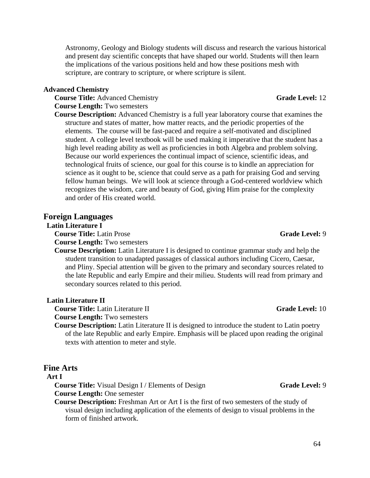**Course Description:** Advanced Chemistry is a full year laboratory course that examines the

structure and states of matter, how matter reacts, and the periodic properties of the elements. The course will be fast-paced and require a self-motivated and disciplined student. A college level textbook will be used making it imperative that the student has a high level reading ability as well as proficiencies in both Algebra and problem solving. Because our world experiences the continual impact of science, scientific ideas, and technological fruits of science, our goal for this course is to kindle an appreciation for science as it ought to be, science that could serve as a path for praising God and serving fellow human beings. We will look at science through a God-centered worldview which recognizes the wisdom, care and beauty of God, giving Him praise for the complexity and order of His created world.

Astronomy, Geology and Biology students will discuss and research the various historical and present day scientific concepts that have shaped our world. Students will then learn

the implications of the various positions held and how these positions mesh with

scripture, are contrary to scripture, or where scripture is silent.

#### **Foreign Languages**

**Advanced Chemistry**

**Course Length:** Two semesters

#### **Latin Literature I**

**Course Title:** Latin Prose **Grade Level:** 9 **Course Length:** Two semesters

**Course Description:** Latin Literature I is designed to continue grammar study and help the student transition to unadapted passages of classical authors including Cicero, Caesar, and Pliny. Special attention will be given to the primary and secondary sources related to the late Republic and early Empire and their milieu. Students will read from primary and secondary sources related to this period.

#### **Latin Literature II**

**Course Title:** Latin Literature II **Grade Level:** 10

**Course Length:** Two semesters

**Course Description:** Latin Literature II is designed to introduce the student to Latin poetry of the late Republic and early Empire. Emphasis will be placed upon reading the original texts with attention to meter and style.

#### **Fine Arts**

#### **Art I**

**Course Title:** Visual Design I / Elements of Design **Grade Level:** 9

**Course Length:** One semester

**Course Description:** Freshman Art or Art I is the first of two semesters of the study of visual design including application of the elements of design to visual problems in the form of finished artwork.

64

# **Course Title:** Advanced Chemistry **Grade Level:** 12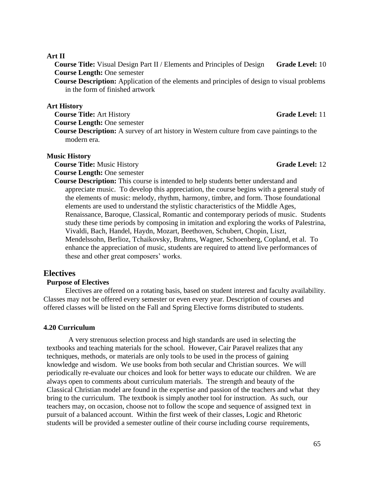65

#### **Art II**

**Course Title:** Visual Design Part II / Elements and Principles of Design **Grade Level:** 10 **Course Length:** One semester

**Course Description:** Application of the elements and principles of design to visual problems in the form of finished artwork

#### **Art History**

**Course Title:** Art History **Grade Level:** 11

**Course Length:** One semester

**Course Description:** A survey of art history in Western culture from cave paintings to the modern era.

#### **Music History**

**Course Title:** Music History **Grade Level:** 12 **Course Length:** One semester

**Course Description:** This course is intended to help students better understand and appreciate music. To develop this appreciation, the course begins with a general study of the elements of music: melody, rhythm, harmony, timbre, and form. Those foundational elements are used to understand the stylistic characteristics of the Middle Ages, Renaissance, Baroque, Classical, Romantic and contemporary periods of music. Students study these time periods by composing in imitation and exploring the works of Palestrina, Vivaldi, Bach, Handel, Haydn, Mozart, Beethoven, Schubert, Chopin, Liszt, Mendelssohn, Berlioz, Tchaikovsky, Brahms, Wagner, Schoenberg, Copland, et al. To enhance the appreciation of music, students are required to attend live performances of these and other great composers' works.

# **Electives**

#### **Purpose of Electives**

Electives are offered on a rotating basis, based on student interest and faculty availability. Classes may not be offered every semester or even every year. Description of courses and offered classes will be listed on the Fall and Spring Elective forms distributed to students.

#### **4.20 Curriculum**

A very strenuous selection process and high standards are used in selecting the textbooks and teaching materials for the school. However, Cair Paravel realizes that any techniques, methods, or materials are only tools to be used in the process of gaining knowledge and wisdom. We use books from both secular and Christian sources. We will periodically re-evaluate our choices and look for better ways to educate our children. We are always open to comments about curriculum materials. The strength and beauty of the Classical Christian model are found in the expertise and passion of the teachers and what they bring to the curriculum. The textbook is simply another tool for instruction. As such, our teachers may, on occasion, choose not to follow the scope and sequence of assigned text in pursuit of a balanced account. Within the first week of their classes, Logic and Rhetoric students will be provided a semester outline of their course including course requirements,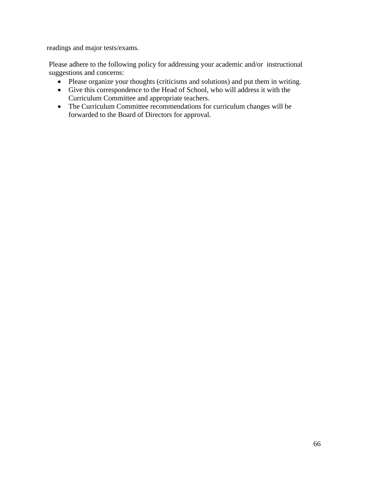readings and major tests/exams.

Please adhere to the following policy for addressing your academic and/or instructional suggestions and concerns:

- Please organize your thoughts (criticisms and solutions) and put them in writing.
- Give this correspondence to the Head of School, who will address it with the Curriculum Committee and appropriate teachers.
- The Curriculum Committee recommendations for curriculum changes will be forwarded to the Board of Directors for approval.